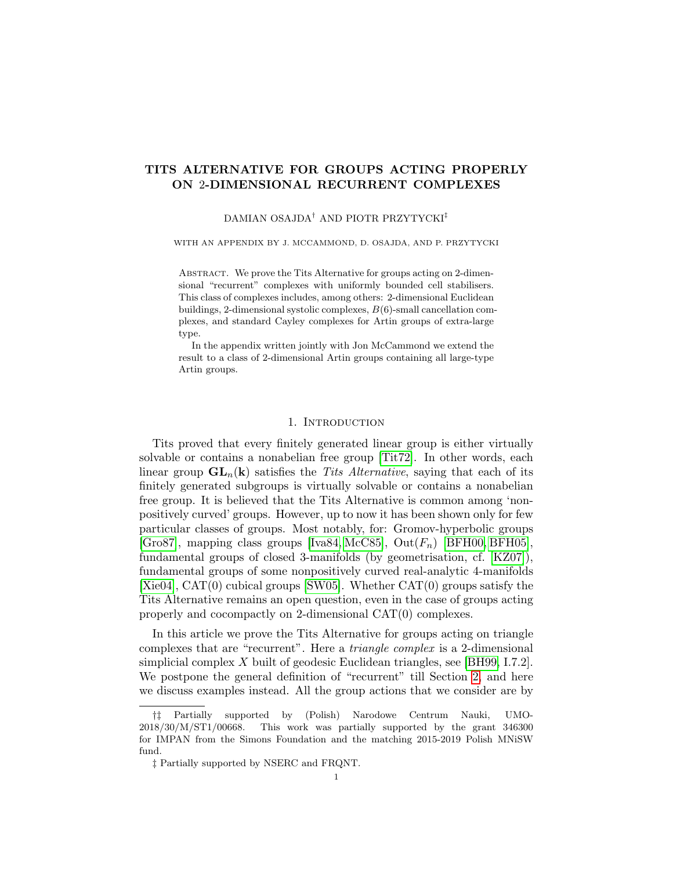# TITS ALTERNATIVE FOR GROUPS ACTING PROPERLY ON 2-DIMENSIONAL RECURRENT COMPLEXES

# DAMIAN OSAJDA† AND PIOTR PRZYTYCKI‡

WITH AN APPENDIX BY J. MCCAMMOND, D. OSAJDA, AND P. PRZYTYCKI

ABSTRACT. We prove the Tits Alternative for groups acting on 2-dimensional "recurrent" complexes with uniformly bounded cell stabilisers. This class of complexes includes, among others: 2-dimensional Euclidean buildings, 2-dimensional systolic complexes, B(6)-small cancellation complexes, and standard Cayley complexes for Artin groups of extra-large type.

In the appendix written jointly with Jon McCammond we extend the result to a class of 2-dimensional Artin groups containing all large-type Artin groups.

#### 1. INTRODUCTION

Tits proved that every finitely generated linear group is either virtually solvable or contains a nonabelian free group [\[Tit72\]](#page-21-0). In other words, each linear group  $GL_n(k)$  satisfies the Tits Alternative, saying that each of its finitely generated subgroups is virtually solvable or contains a nonabelian free group. It is believed that the Tits Alternative is common among 'nonpositively curved' groups. However, up to now it has been shown only for few particular classes of groups. Most notably, for: Gromov-hyperbolic groups [\[Gro87\]](#page-21-1), mapping class groups [\[Iva84,](#page-21-2) [McC85\]](#page-21-3),  $Out(F_n)$  [\[BFH00,](#page-20-0) [BFH05\]](#page-20-1), fundamental groups of closed 3-manifolds (by geometrisation, cf. [\[KZ07\]](#page-21-4)), fundamental groups of some nonpositively curved real-analytic 4-manifolds [\[Xie04\]](#page-21-5), CAT(0) cubical groups [\[SW05\]](#page-21-6). Whether CAT(0) groups satisfy the Tits Alternative remains an open question, even in the case of groups acting properly and cocompactly on 2-dimensional CAT(0) complexes.

In this article we prove the Tits Alternative for groups acting on triangle complexes that are "recurrent". Here a triangle complex is a 2-dimensional simplicial complex X built of geodesic Euclidean triangles, see [\[BH99,](#page-20-2) I.7.2]. We postpone the general definition of "recurrent" till Section [2,](#page-4-0) and here we discuss examples instead. All the group actions that we consider are by

<sup>†‡</sup> Partially supported by (Polish) Narodowe Centrum Nauki, UMO-2018/30/M/ST1/00668. This work was partially supported by the grant 346300 for IMPAN from the Simons Foundation and the matching 2015-2019 Polish MNiSW fund.

<sup>‡</sup> Partially supported by NSERC and FRQNT.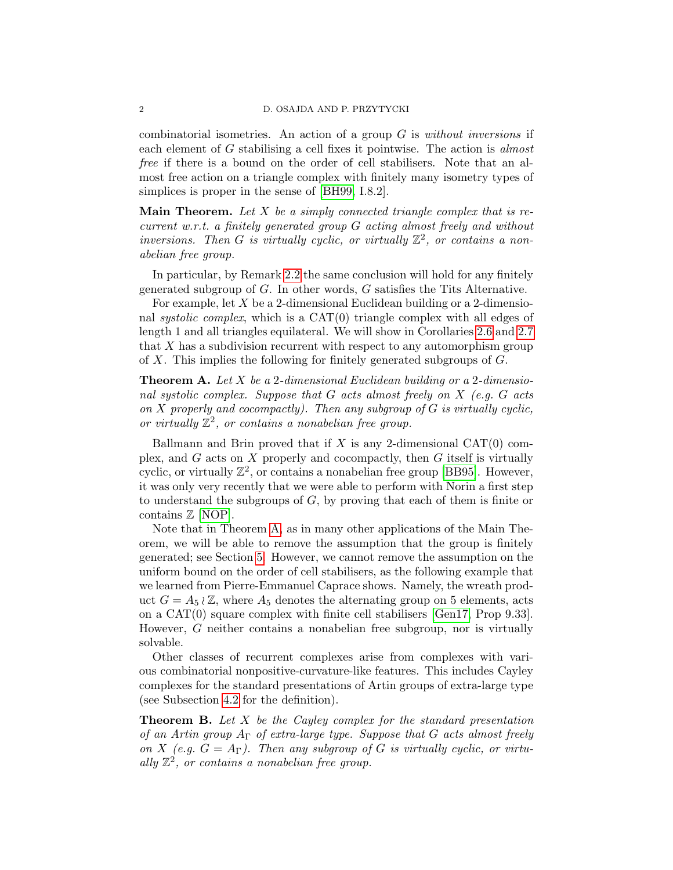combinatorial isometries. An action of a group  $G$  is *without inversions* if each element of G stabilising a cell fixes it pointwise. The action is almost free if there is a bound on the order of cell stabilisers. Note that an almost free action on a triangle complex with finitely many isometry types of simplices is proper in the sense of [\[BH99,](#page-20-2) I.8.2].

**Main Theorem.** Let  $X$  be a simply connected triangle complex that is recurrent w.r.t. a finitely generated group G acting almost freely and without inversions. Then G is virtually cyclic, or virtually  $\mathbb{Z}^2$ , or contains a nonabelian free group.

In particular, by Remark [2.2](#page-4-1) the same conclusion will hold for any finitely generated subgroup of G. In other words, G satisfies the Tits Alternative.

For example, let X be a 2-dimensional Euclidean building or a 2-dimensional systolic complex, which is a  $CAT(0)$  triangle complex with all edges of length 1 and all triangles equilateral. We will show in Corollaries [2.6](#page-5-0) and [2.7](#page-5-1) that X has a subdivision recurrent with respect to any automorphism group of X. This implies the following for finitely generated subgroups of G.

<span id="page-1-0"></span>**Theorem A.** Let  $X$  be a 2-dimensional Euclidean building or a 2-dimensional systolic complex. Suppose that  $G$  acts almost freely on  $X$  (e.g.  $G$  acts on  $X$  properly and cocompactly). Then any subgroup of  $G$  is virtually cyclic, or virtually  $\mathbb{Z}^2$ , or contains a nonabelian free group.

Ballmann and Brin proved that if  $X$  is any 2-dimensional CAT(0) complex, and  $G$  acts on  $X$  properly and cocompactly, then  $G$  itself is virtually cyclic, or virtually  $\mathbb{Z}^2$ , or contains a nonabelian free group [\[BB95\]](#page-20-3). However, it was only very recently that we were able to perform with Norin a first step to understand the subgroups of  $G$ , by proving that each of them is finite or contains Z [\[NOP\]](#page-21-7).

Note that in Theorem [A,](#page-1-0) as in many other applications of the Main Theorem, we will be able to remove the assumption that the group is finitely generated; see Section [5.](#page-16-0) However, we cannot remove the assumption on the uniform bound on the order of cell stabilisers, as the following example that we learned from Pierre-Emmanuel Caprace shows. Namely, the wreath product  $G = A_5 \wr \mathbb{Z}$ , where  $A_5$  denotes the alternating group on 5 elements, acts on a CAT(0) square complex with finite cell stabilisers [\[Gen17,](#page-21-8) Prop 9.33]. However, G neither contains a nonabelian free subgroup, nor is virtually solvable.

Other classes of recurrent complexes arise from complexes with various combinatorial nonpositive-curvature-like features. This includes Cayley complexes for the standard presentations of Artin groups of extra-large type (see Subsection [4.2](#page-13-0) for the definition).

<span id="page-1-1"></span>**Theorem B.** Let  $X$  be the Cayley complex for the standard presentation of an Artin group  $A_{\Gamma}$  of extra-large type. Suppose that G acts almost freely on X (e.g.  $G = A_{\Gamma}$ ). Then any subgroup of G is virtually cyclic, or virtually  $\mathbb{Z}^2$ , or contains a nonabelian free group.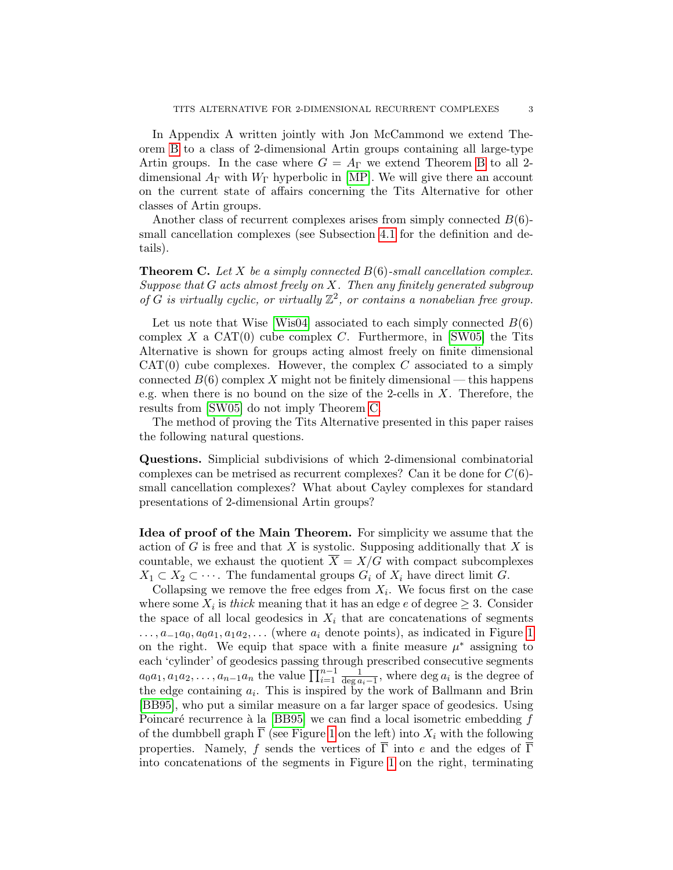In Appendix A written jointly with Jon McCammond we extend Theorem [B](#page-1-1) to a class of 2-dimensional Artin groups containing all large-type Artin groups. In the case where  $G = A_{\Gamma}$  we extend Theorem [B](#page-1-1) to all 2dimensional  $A_{\Gamma}$  with  $W_{\Gamma}$  hyperbolic in [\[MP\]](#page-21-9). We will give there an account on the current state of affairs concerning the Tits Alternative for other classes of Artin groups.

Another class of recurrent complexes arises from simply connected  $B(6)$ small cancellation complexes (see Subsection [4.1](#page-12-0) for the definition and details).

<span id="page-2-0"></span>**Theorem C.** Let X be a simply connected  $B(6)$ -small cancellation complex. Suppose that  $G$  acts almost freely on  $X$ . Then any finitely generated subgroup of  $\hat{G}$  is virtually cyclic, or virtually  $\mathbb{Z}^2$ , or contains a nonabelian free group.

Let us note that Wise [\[Wis04\]](#page-21-10) associated to each simply connected  $B(6)$ complex  $X$  a CAT(0) cube complex  $C$ . Furthermore, in [\[SW05\]](#page-21-6) the Tits Alternative is shown for groups acting almost freely on finite dimensional  $CAT(0)$  cube complexes. However, the complex C associated to a simply connected  $B(6)$  complex X might not be finitely dimensional — this happens e.g. when there is no bound on the size of the 2-cells in  $X$ . Therefore, the results from [\[SW05\]](#page-21-6) do not imply Theorem [C.](#page-2-0)

The method of proving the Tits Alternative presented in this paper raises the following natural questions.

Questions. Simplicial subdivisions of which 2-dimensional combinatorial complexes can be metrised as recurrent complexes? Can it be done for  $C(6)$ small cancellation complexes? What about Cayley complexes for standard presentations of 2-dimensional Artin groups?

Idea of proof of the Main Theorem. For simplicity we assume that the action of G is free and that X is systolic. Supposing additionally that X is countable, we exhaust the quotient  $\overline{X} = X/G$  with compact subcomplexes  $X_1 \subset X_2 \subset \cdots$ . The fundamental groups  $G_i$  of  $X_i$  have direct limit G.

Collapsing we remove the free edges from  $X_i$ . We focus first on the case where some  $X_i$  is thick meaning that it has an edge e of degree  $\geq 3$ . Consider the space of all local geodesics in  $X_i$  that are concatenations of segments  $\ldots, a_{-1}a_0, a_0a_1, a_1a_2, \ldots$  (where  $a_i$  denote points), as indicated in Figure [1](#page-3-0) on the right. We equip that space with a finite measure  $\mu^*$  assigning to each 'cylinder' of geodesics passing through prescribed consecutive segments  $a_0a_1, a_1a_2, \ldots, a_{n-1}a_n$  the value  $\prod_{i=1}^{n-1} \frac{1}{\deg a_i-1}$ , where  $\deg a_i$  is the degree of the edge containing  $a_i$ . This is inspired by the work of Ballmann and Brin [\[BB95\]](#page-20-3), who put a similar measure on a far larger space of geodesics. Using Poincaré recurrence à la [\[BB95\]](#page-20-3) we can find a local isometric embedding  $f$ of the dumbbell graph  $\overline{\Gamma}$  (see Figure [1](#page-3-0) on the left) into  $X_i$  with the following properties. Namely, f sends the vertices of  $\overline{\Gamma}$  into e and the edges of  $\overline{\Gamma}$ into concatenations of the segments in Figure [1](#page-3-0) on the right, terminating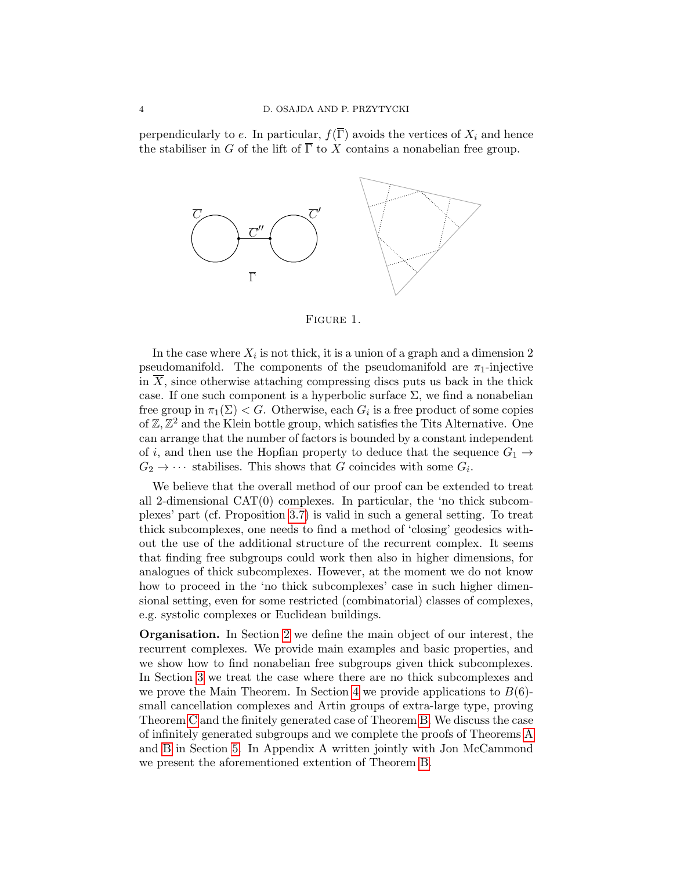perpendicularly to e. In particular,  $f(\overline{\Gamma})$  avoids the vertices of  $X_i$  and hence the stabiliser in G of the lift of  $\overline{\Gamma}$  to X contains a nonabelian free group.



<span id="page-3-0"></span>

In the case where  $X_i$  is not thick, it is a union of a graph and a dimension 2 pseudomanifold. The components of the pseudomanifold are  $\pi_1$ -injective in  $\overline{X}$ , since otherwise attaching compressing discs puts us back in the thick case. If one such component is a hyperbolic surface  $\Sigma$ , we find a nonabelian free group in  $\pi_1(\Sigma) < G$ . Otherwise, each  $G_i$  is a free product of some copies of  $\mathbb{Z}, \mathbb{Z}^2$  and the Klein bottle group, which satisfies the Tits Alternative. One can arrange that the number of factors is bounded by a constant independent of i, and then use the Hopfian property to deduce that the sequence  $G_1 \rightarrow$  $G_2 \rightarrow \cdots$  stabilises. This shows that G coincides with some  $G_i$ .

We believe that the overall method of our proof can be extended to treat all 2-dimensional CAT(0) complexes. In particular, the 'no thick subcomplexes' part (cf. Proposition [3.7\)](#page-11-0) is valid in such a general setting. To treat thick subcomplexes, one needs to find a method of 'closing' geodesics without the use of the additional structure of the recurrent complex. It seems that finding free subgroups could work then also in higher dimensions, for analogues of thick subcomplexes. However, at the moment we do not know how to proceed in the 'no thick subcomplexes' case in such higher dimensional setting, even for some restricted (combinatorial) classes of complexes, e.g. systolic complexes or Euclidean buildings.

Organisation. In Section [2](#page-4-0) we define the main object of our interest, the recurrent complexes. We provide main examples and basic properties, and we show how to find nonabelian free subgroups given thick subcomplexes. In Section [3](#page-8-0) we treat the case where there are no thick subcomplexes and we prove the Main Theorem. In Section [4](#page-11-1) we provide applications to  $B(6)$ small cancellation complexes and Artin groups of extra-large type, proving Theorem [C](#page-2-0) and the finitely generated case of Theorem [B.](#page-1-1) We discuss the case of infinitely generated subgroups and we complete the proofs of Theorems [A](#page-1-0) and [B](#page-1-1) in Section [5.](#page-16-0) In Appendix A written jointly with Jon McCammond we present the aforementioned extention of Theorem [B.](#page-1-1)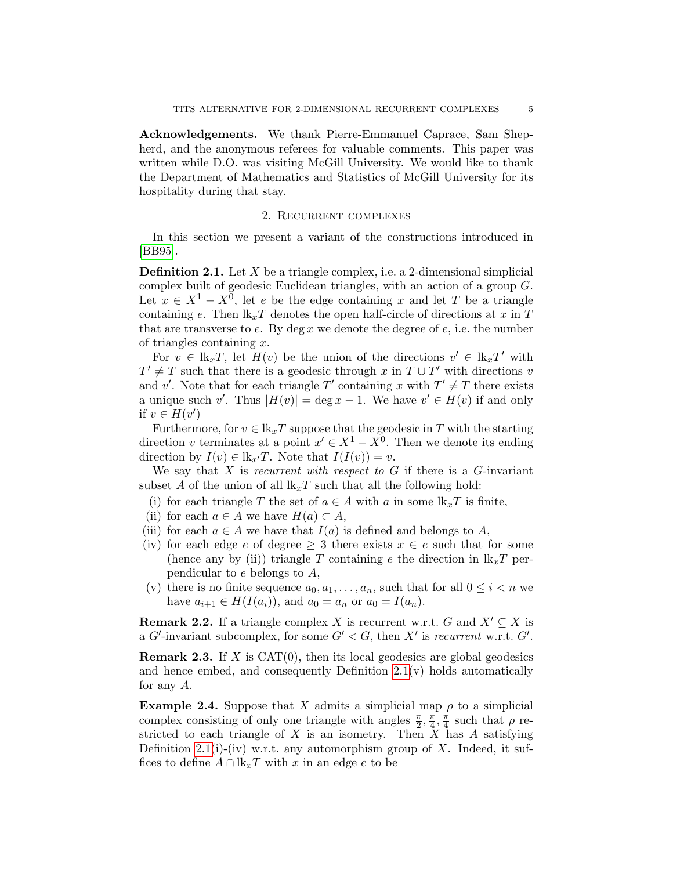Acknowledgements. We thank Pierre-Emmanuel Caprace, Sam Shepherd, and the anonymous referees for valuable comments. This paper was written while D.O. was visiting McGill University. We would like to thank the Department of Mathematics and Statistics of McGill University for its hospitality during that stay.

## 2. Recurrent complexes

<span id="page-4-0"></span>In this section we present a variant of the constructions introduced in [\[BB95\]](#page-20-3).

<span id="page-4-2"></span>**Definition 2.1.** Let  $X$  be a triangle complex, i.e. a 2-dimensional simplicial complex built of geodesic Euclidean triangles, with an action of a group G. Let  $x \in X^1 - X^0$ , let e be the edge containing x and let T be a triangle containing e. Then  $\mathbb{R}_x$  denotes the open half-circle of directions at x in T that are transverse to  $e$ . By deg  $x$  we denote the degree of  $e$ , i.e. the number of triangles containing  $x$ .

For  $v \in \mathbb{R}_x$ , let  $H(v)$  be the union of the directions  $v' \in \mathbb{R}_x$ <sup>'</sup> with  $T' \neq T$  such that there is a geodesic through x in  $T \cup T'$  with directions v and v'. Note that for each triangle T' containing x with  $T' \neq T$  there exists a unique such v'. Thus  $|H(v)| = \deg x - 1$ . We have  $v' \in H(v)$  if and only if  $v \in H(v')$ 

Furthermore, for  $v \in \mathbb{R}_x T$  suppose that the geodesic in T with the starting direction v terminates at a point  $x' \in X^1 - X^0$ . Then we denote its ending direction by  $I(v) \in \mathbb{R}_{x'}T$ . Note that  $I(I(v)) = v$ .

We say that  $X$  is recurrent with respect to  $G$  if there is a  $G$ -invariant subset A of the union of all  $k_xT$  such that all the following hold:

- (i) for each triangle T the set of  $a \in A$  with a in some  $lk_xT$  is finite,
- (ii) for each  $a \in A$  we have  $H(a) \subset A$ ,
- (iii) for each  $a \in A$  we have that  $I(a)$  is defined and belongs to A,
- (iv) for each edge e of degree  $\geq 3$  there exists  $x \in e$  such that for some (hence any by (ii)) triangle T containing e the direction in  $lk_xT$  perpendicular to e belongs to A,
- (v) there is no finite sequence  $a_0, a_1, \ldots, a_n$ , such that for all  $0 \leq i < n$  we have  $a_{i+1} \in H(I(a_i))$ , and  $a_0 = a_n$  or  $a_0 = I(a_n)$ .

<span id="page-4-1"></span>**Remark 2.2.** If a triangle complex X is recurrent w.r.t. G and  $X' \subseteq X$  is a G'-invariant subcomplex, for some  $G' < G$ , then X' is recurrent w.r.t.  $G'$ .

<span id="page-4-3"></span>**Remark 2.3.** If X is CAT $(0)$ , then its local geodesics are global geodesics and hence embed, and consequently Definition  $2.1(v)$  holds automatically for any A.

<span id="page-4-4"></span>**Example 2.4.** Suppose that X admits a simplicial map  $\rho$  to a simplicial complex consisting of only one triangle with angles  $\frac{\pi}{2}$ ,  $\frac{\pi}{4}$  $\frac{\pi}{4}, \frac{\pi}{4}$  $\frac{\pi}{4}$  such that  $\rho$  restricted to each triangle of  $X$  is an isometry. Then  $X$  has  $A$  satisfying Definition [2.1\(](#page-4-2)i)-(iv) w.r.t. any automorphism group of X. Indeed, it suffices to define  $A \cap \mathbb{R}_x$  with x in an edge e to be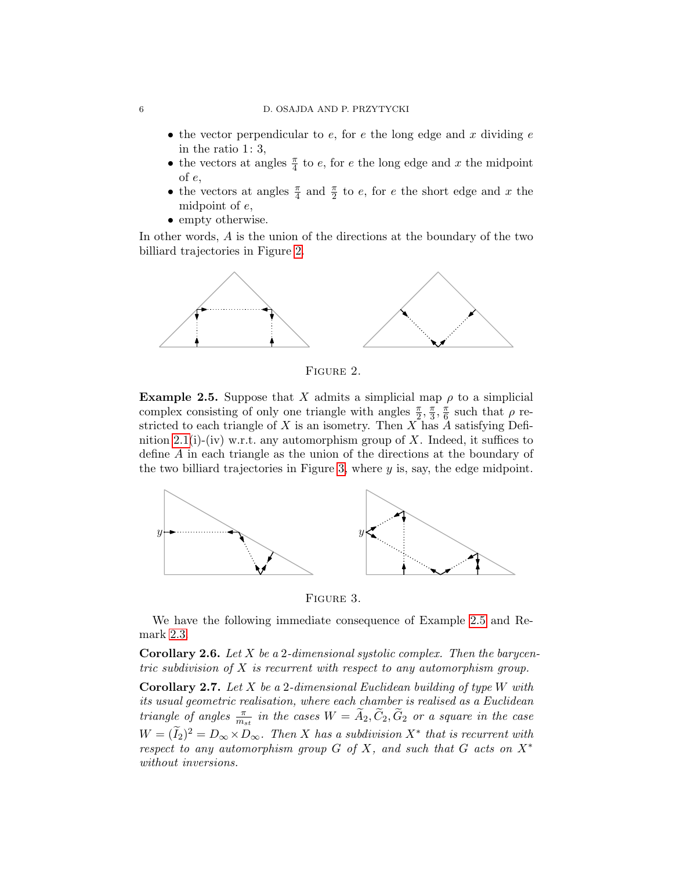- the vector perpendicular to  $e$ , for  $e$  the long edge and  $x$  dividing  $e$ in the ratio 1: 3,
- the vectors at angles  $\frac{\pi}{4}$  to  $e$ , for  $e$  the long edge and  $x$  the midpoint of e,
- the vectors at angles  $\frac{\pi}{4}$  and  $\frac{\pi}{2}$  to e, for e the short edge and x the midpoint of e,
- empty otherwise.

In other words, A is the union of the directions at the boundary of the two billiard trajectories in Figure [2.](#page-5-2)



<span id="page-5-2"></span>FIGURE 2.

<span id="page-5-4"></span>**Example 2.5.** Suppose that X admits a simplicial map  $\rho$  to a simplicial complex consisting of only one triangle with angles  $\frac{\pi}{2}$ ,  $\frac{\pi}{3}$  $\frac{\pi}{3}, \frac{\pi}{6}$  $\frac{\pi}{6}$  such that  $\rho$  restricted to each triangle of X is an isometry. Then X has A satisfying Defi-nition [2.1\(](#page-4-2)i)-(iv) w.r.t. any automorphism group of X. Indeed, it suffices to define A in each triangle as the union of the directions at the boundary of the two billiard trajectories in Figure [3,](#page-5-3) where  $y$  is, say, the edge midpoint.



<span id="page-5-3"></span>Figure 3.

We have the following immediate consequence of Example [2.5](#page-5-4) and Remark [2.3.](#page-4-3)

<span id="page-5-0"></span>**Corollary 2.6.** Let X be a 2-dimensional systolic complex. Then the barycentric subdivision of  $X$  is recurrent with respect to any automorphism group.

<span id="page-5-1"></span>**Corollary 2.7.** Let X be a 2-dimensional Euclidean building of type W with its usual geometric realisation, where each chamber is realised as a Euclidean triangle of angles  $\frac{\pi}{m_{st}}$  in the cases  $W = \widetilde{A}_2, \widetilde{C}_2, \widetilde{G}_2$  or a square in the case  $W = (\widetilde{I}_2)^2 = D_{\infty} \times D_{\infty}$ . Then X has a subdivision  $X^*$  that is recurrent with respect to any automorphism group G of X, and such that G acts on  $X^*$ without inversions.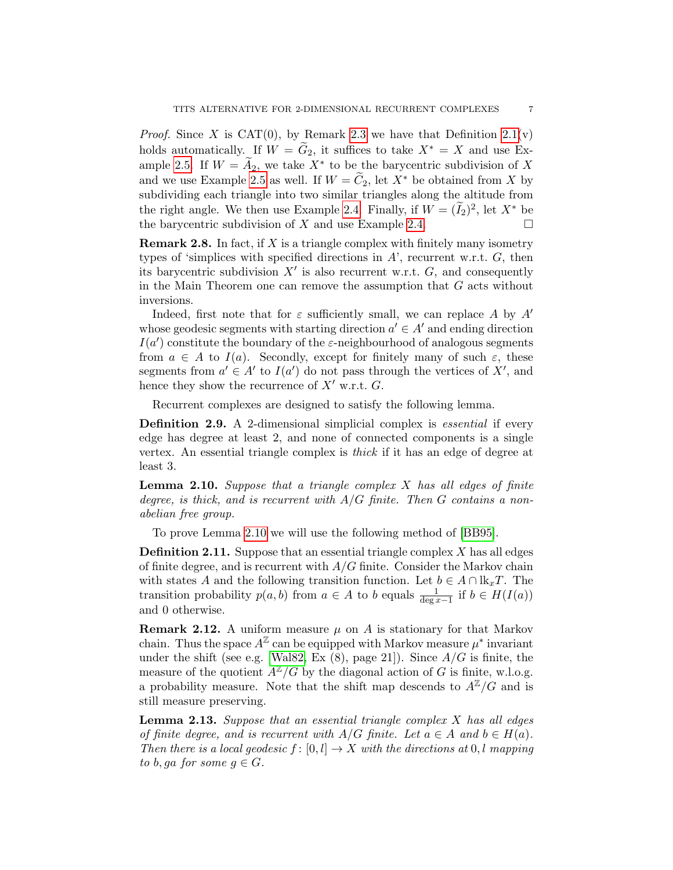*Proof.* Since X is CAT(0), by Remark [2.3](#page-4-3) we have that Definition  $2.1(v)$ holds automatically. If  $W = \widetilde{G}_2$ , it suffices to take  $X^* = X$  and use Ex-ample [2.5.](#page-5-4) If  $W = \widetilde{A}_2$ , we take  $X^*$  to be the barycentric subdivision of X and we use Example [2.5](#page-5-4) as well. If  $W = C_2$ , let  $X^*$  be obtained from X by subdividing each triangle into two similar triangles along the altitude from the right angle. We then use Example [2.4.](#page-4-4) Finally, if  $W = (\tilde{I}_2)^2$ , let  $X^*$  be the barycentric subdivision of  $X$  and use Example [2.4.](#page-4-4)

**Remark 2.8.** In fact, if X is a triangle complex with finitely many isometry types of 'simplices with specified directions in  $A$ ', recurrent w.r.t.  $G$ , then its barycentric subdivision  $X'$  is also recurrent w.r.t.  $G$ , and consequently in the Main Theorem one can remove the assumption that  $G$  acts without inversions.

Indeed, first note that for  $\varepsilon$  sufficiently small, we can replace A by A' whose geodesic segments with starting direction  $a' \in A'$  and ending direction  $I(a')$  constitute the boundary of the  $\varepsilon$ -neighbourhood of analogous segments from  $a \in A$  to  $I(a)$ . Secondly, except for finitely many of such  $\varepsilon$ , these segments from  $a' \in A'$  to  $I(a')$  do not pass through the vertices of X', and hence they show the recurrence of  $X^{\prime}$  w.r.t.  $G.$ 

Recurrent complexes are designed to satisfy the following lemma.

Definition 2.9. A 2-dimensional simplicial complex is essential if every edge has degree at least 2, and none of connected components is a single vertex. An essential triangle complex is thick if it has an edge of degree at least 3.

<span id="page-6-0"></span>**Lemma 2.10.** Suppose that a triangle complex  $X$  has all edges of finite degree, is thick, and is recurrent with  $A/G$  finite. Then G contains a nonabelian free group.

To prove Lemma [2.10](#page-6-0) we will use the following method of [\[BB95\]](#page-20-3).

**Definition 2.11.** Suppose that an essential triangle complex  $X$  has all edges of finite degree, and is recurrent with  $A/G$  finite. Consider the Markov chain with states A and the following transition function. Let  $b \in A \cap \mathbb{R}_x$ . The transition probability  $p(a, b)$  from  $a \in A$  to b equals  $\frac{1}{\deg x - 1}$  if  $b \in H(I(a))$ and 0 otherwise.

**Remark 2.12.** A uniform measure  $\mu$  on A is stationary for that Markov chain. Thus the space  $A^{\mathbb{Z}}$  can be equipped with Markov measure  $\mu^*$  invariant under the shift (see e.g. [\[Wal82,](#page-21-11) Ex  $(8)$ , page 21]). Since  $A/G$  is finite, the measure of the quotient  $A^{\mathbb{Z}}/G$  by the diagonal action of G is finite, w.l.o.g. a probability measure. Note that the shift map descends to  $A^{\mathbb{Z}}/G$  and is still measure preserving.

<span id="page-6-1"></span>**Lemma 2.13.** Suppose that an essential triangle complex  $X$  has all edges of finite degree, and is recurrent with  $A/G$  finite. Let  $a \in A$  and  $b \in H(a)$ . Then there is a local geodesic  $f : [0, l] \to X$  with the directions at  $0, l$  mapping to b, ga for some  $q \in G$ .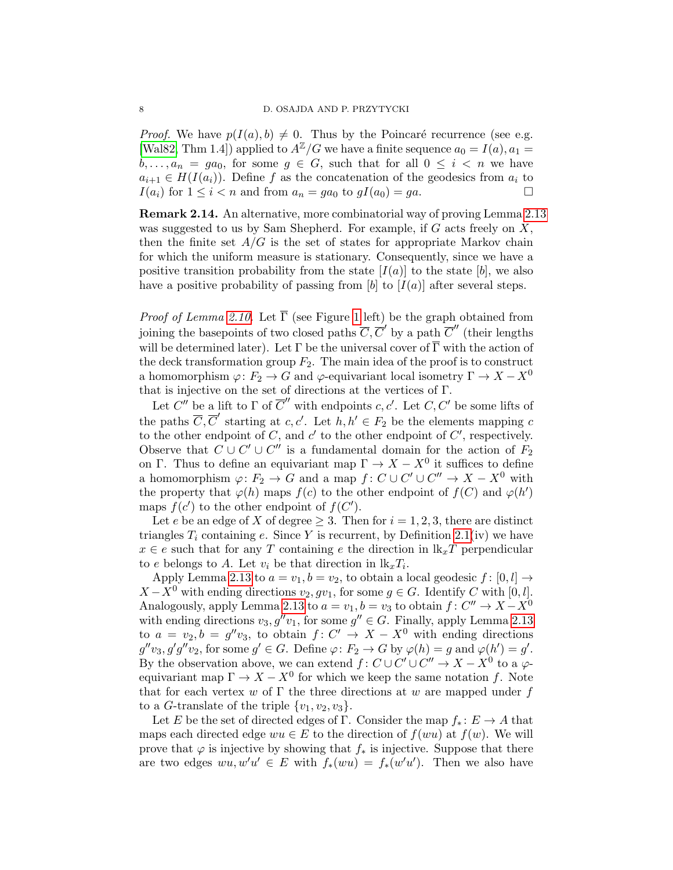*Proof.* We have  $p(I(a), b) \neq 0$ . Thus by the Poincaré recurrence (see e.g. [\[Wal82,](#page-21-11) Thm 1.4]) applied to  $A^{\mathbb{Z}}/G$  we have a finite sequence  $a_0 = I(a), a_1 =$  $b, \ldots, a_n = ga_0$ , for some  $g \in G$ , such that for all  $0 \leq i \leq n$  we have  $a_{i+1} \in H(I(a_i))$ . Define f as the concatenation of the geodesics from  $a_i$  to  $I(a_i)$  for  $1 \leq i < n$  and from  $a_n = ga_0$  to  $gI(a_0) = ga$ .

Remark 2.14. An alternative, more combinatorial way of proving Lemma [2.13](#page-6-1) was suggested to us by Sam Shepherd. For example, if  $G$  acts freely on  $X$ , then the finite set  $A/G$  is the set of states for appropriate Markov chain for which the uniform measure is stationary. Consequently, since we have a positive transition probability from the state  $[I(a)]$  to the state  $[b]$ , we also have a positive probability of passing from [b] to  $[I(a)]$  after several steps.

*Proof of Lemma [2.10.](#page-6-0)* Let  $\overline{\Gamma}$  (see Figure [1](#page-3-0) left) be the graph obtained from joining the basepoints of two closed paths  $\overline{C}, \overline{C}'$  by a path  $\overline{C}''$  (their lengths will be determined later). Let  $\Gamma$  be the universal cover of  $\overline{\Gamma}$  with the action of the deck transformation group  $F_2$ . The main idea of the proof is to construct a homomorphism  $\varphi: F_2 \to G$  and  $\varphi$ -equivariant local isometry  $\Gamma \to X - X^0$ that is injective on the set of directions at the vertices of Γ.

Let  $C''$  be a lift to  $\Gamma$  of  $\overline{C}''$  with endpoints c, c'. Let  $C, C'$  be some lifts of the paths  $\overline{C}, \overline{C}'$  starting at c, c'. Let  $\overline{h}, h' \in F_2$  be the elements mapping c to the other endpoint of C, and  $c'$  to the other endpoint of  $C'$ , respectively. Observe that  $C \cup C' \cup C''$  is a fundamental domain for the action of  $F_2$ on Γ. Thus to define an equivariant map  $\Gamma \to X - X^0$  it suffices to define a homomorphism  $\varphi: F_2 \to G$  and a map  $f: C \cup C' \cup C'' \to X - X^0$  with the property that  $\varphi(h)$  maps  $f(c)$  to the other endpoint of  $f(C)$  and  $\varphi(h')$ maps  $f(c')$  to the other endpoint of  $f(C')$ .

Let e be an edge of X of degree  $\geq 3$ . Then for  $i = 1, 2, 3$ , there are distinct triangles  $T_i$  containing e. Since Y is recurrent, by Definition [2.1\(](#page-4-2)iv) we have  $x \in e$  such that for any T containing e the direction in  $lk_xT$  perpendicular to e belongs to A. Let  $v_i$  be that direction in  $\mathbf{lk}_x T_i$ .

Apply Lemma [2.13](#page-6-1) to  $a = v_1, b = v_2$ , to obtain a local geodesic  $f : [0, l] \rightarrow$  $X - X^0$  with ending directions  $v_2, gv_1$ , for some  $g \in G$ . Identify C with [0, l]. Analogously, apply Lemma [2.13](#page-6-1) to  $a = v_1, b = v_3$  to obtain  $f: C'' \to X - X^0$ with ending directions  $v_3, g''v_1$ , for some  $g'' \in G$ . Finally, apply Lemma [2.13](#page-6-1) to  $a = v_2, b = g''v_3$ , to obtain  $f: C' \to X - X^0$  with ending directions  $g''v_3, g'g''v_2$ , for some  $g' \in G$ . Define  $\varphi \colon F_2 \to G$  by  $\varphi(h) = g$  and  $\varphi(h') = g'$ . By the observation above, we can extend  $f: C \cup C' \cup C'' \to X - X^0$  to a  $\varphi$ equivariant map  $\Gamma \to X - X^0$  for which we keep the same notation f. Note that for each vertex w of  $\Gamma$  the three directions at w are mapped under f to a G-translate of the triple  $\{v_1, v_2, v_3\}.$ 

Let E be the set of directed edges of Γ. Consider the map  $f_* : E \to A$  that maps each directed edge  $wu \in E$  to the direction of  $f(wu)$  at  $f(w)$ . We will prove that  $\varphi$  is injective by showing that  $f_*$  is injective. Suppose that there are two edges  $wu, w'u' \in E$  with  $f_*(wu) = f_*(w'u')$ . Then we also have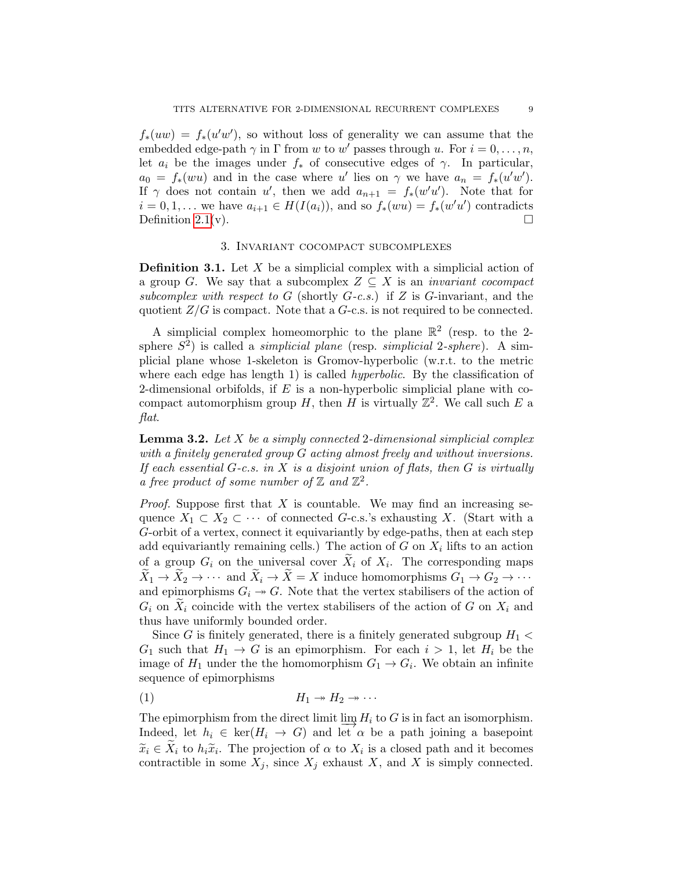$f_*(uw) = f_*(u'w')$ , so without loss of generality we can assume that the embedded edge-path  $\gamma$  in  $\Gamma$  from w to w' passes through u. For  $i = 0, \ldots, n$ , let  $a_i$  be the images under  $f_*$  of consecutive edges of  $\gamma$ . In particular,  $a_0 = f_*(wu)$  and in the case where u' lies on  $\gamma$  we have  $a_n = f_*(u'w')$ . If  $\gamma$  does not contain u', then we add  $a_{n+1} = f_*(w'u')$ . Note that for  $i = 0, 1, \ldots$  we have  $a_{i+1} \in H(I(a_i))$ , and so  $f_*(wu) = f_*(w'u')$  contradicts Definition [2.1\(](#page-4-2)v).  $\Box$ 

# 3. Invariant cocompact subcomplexes

<span id="page-8-0"></span>**Definition 3.1.** Let  $X$  be a simplicial complex with a simplicial action of a group G. We say that a subcomplex  $Z \subseteq X$  is an *invariant cocompact* subcomplex with respect to G (shortly  $G-c.s.$ ) if Z is G-invariant, and the quotient  $Z/G$  is compact. Note that a  $G$ -c.s. is not required to be connected.

A simplicial complex homeomorphic to the plane  $\mathbb{R}^2$  (resp. to the 2sphere  $S^2$ ) is called a *simplicial plane* (resp. *simplicial* 2-sphere). A simplicial plane whose 1-skeleton is Gromov-hyperbolic (w.r.t. to the metric where each edge has length 1) is called *hyperbolic*. By the classification of 2-dimensional orbifolds, if  $E$  is a non-hyperbolic simplicial plane with cocompact automorphism group H, then H is virtually  $\mathbb{Z}^2$ . We call such E a flat.

<span id="page-8-2"></span>**Lemma 3.2.** Let  $X$  be a simply connected 2-dimensional simplicial complex with a finitely generated group G acting almost freely and without inversions. If each essential  $G-c.s.$  in  $X$  is a disjoint union of flats, then  $G$  is virtually a free product of some number of  $\mathbb Z$  and  $\mathbb Z^2$ .

*Proof.* Suppose first that  $X$  is countable. We may find an increasing sequence  $X_1 \subset X_2 \subset \cdots$  of connected G-c.s.'s exhausting X. (Start with a G-orbit of a vertex, connect it equivariantly by edge-paths, then at each step add equivariantly remaining cells.) The action of  $G$  on  $X_i$  lifts to an action of a group  $G_i$  on the universal cover  $X_i$  of  $X_i$ . The corresponding maps  $\widetilde{X}_1 \to \widetilde{X}_2 \to \cdots$  and  $\widetilde{X}_i \to \widetilde{X} = X$  induce homomorphisms  $G_1 \to G_2 \to \cdots$ and epimorphisms  $G_i \rightarrow G$ . Note that the vertex stabilisers of the action of  $G_i$  on  $X_i$  coincide with the vertex stabilisers of the action of G on  $X_i$  and thus have uniformly bounded order.

Since G is finitely generated, there is a finitely generated subgroup  $H_1$  <  $G_1$  such that  $H_1 \to G$  is an epimorphism. For each  $i > 1$ , let  $H_i$  be the image of  $H_1$  under the the homomorphism  $G_1 \to G_i$ . We obtain an infinite sequence of epimorphisms

<span id="page-8-1"></span>
$$
(1) \t\t\t H_1 \twoheadrightarrow H_2 \twoheadrightarrow \cdots
$$

The epimorphism from the direct limit  $\varinjlim H_i$  to G is in fact an isomorphism. Indeed, let  $h_i \in \text{ker}(H_i \to G)$  and let  $\alpha$  be a path joining a basepoint  $\widetilde{x}_i \in X_i$  to  $h_i \widetilde{x}_i$ . The projection of  $\alpha$  to  $X_i$  is a closed path and it becomes<br>contractible in some  $X_i$ , since  $X_i$  orbanst  $X_i$  and  $X_i$  is simply connected contractible in some  $X_j$ , since  $X_j$  exhaust X, and X is simply connected.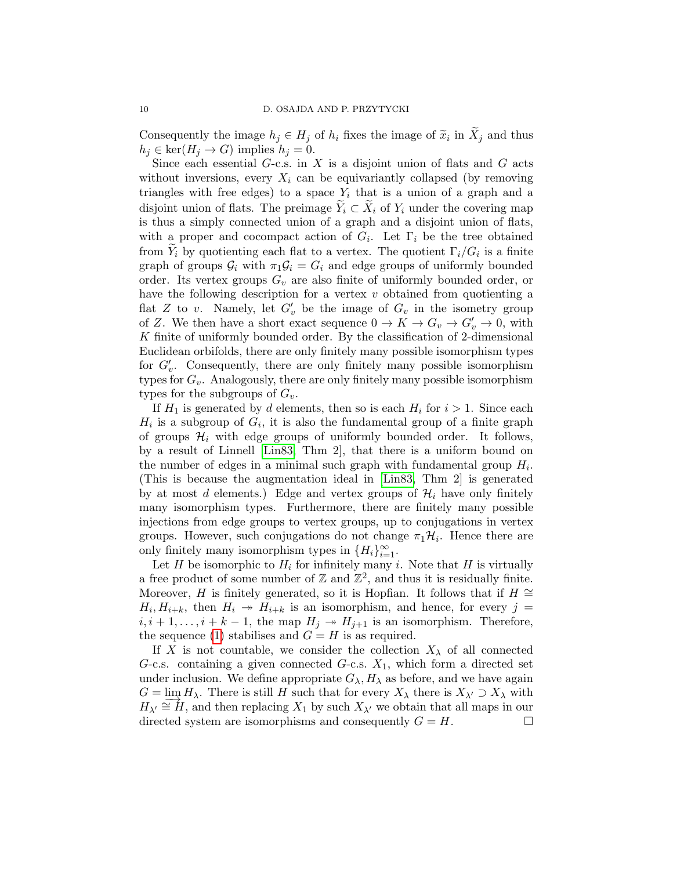Consequently the image  $h_j \in H_j$  of  $h_i$  fixes the image of  $\tilde{x}_i$  in  $X_j$  and thus  $h_i \in \ker(H_i \to G)$  implies  $h_i = 0$  $h_j \in \ker(H_j \to G)$  implies  $h_j = 0$ .

Since each essential  $G$ -c.s. in X is a disjoint union of flats and  $G$  acts without inversions, every  $X_i$  can be equivariantly collapsed (by removing triangles with free edges) to a space  $Y_i$  that is a union of a graph and a disjoint union of flats. The preimage  $\tilde{Y}_i \subset \tilde{X}_i$  of  $Y_i$  under the covering map is thus a simply connected union of a graph and a disjoint union of flats, with a proper and cocompact action of  $G_i$ . Let  $\Gamma_i$  be the tree obtained from  $Y_i$  by quotienting each flat to a vertex. The quotient  $\Gamma_i/G_i$  is a finite graph of groups  $\mathcal{G}_i$  with  $\pi_1 \mathcal{G}_i = G_i$  and edge groups of uniformly bounded order. Its vertex groups  $G_v$  are also finite of uniformly bounded order, or have the following description for a vertex  $v$  obtained from quotienting a flat Z to v. Namely, let  $G'_v$  be the image of  $G_v$  in the isometry group of Z. We then have a short exact sequence  $0 \to K \to G_v \to G'_v \to 0$ , with K finite of uniformly bounded order. By the classification of 2-dimensional Euclidean orbifolds, there are only finitely many possible isomorphism types for  $G'_v$ . Consequently, there are only finitely many possible isomorphism types for  $G_v$ . Analogously, there are only finitely many possible isomorphism types for the subgroups of  $G_v$ .

If  $H_1$  is generated by d elements, then so is each  $H_i$  for  $i > 1$ . Since each  $H_i$  is a subgroup of  $G_i$ , it is also the fundamental group of a finite graph of groups  $\mathcal{H}_i$  with edge groups of uniformly bounded order. It follows, by a result of Linnell [\[Lin83,](#page-21-12) Thm 2], that there is a uniform bound on the number of edges in a minimal such graph with fundamental group  $H_i$ . (This is because the augmentation ideal in [\[Lin83,](#page-21-12) Thm 2] is generated by at most d elements.) Edge and vertex groups of  $\mathcal{H}_i$  have only finitely many isomorphism types. Furthermore, there are finitely many possible injections from edge groups to vertex groups, up to conjugations in vertex groups. However, such conjugations do not change  $\pi_1\mathcal{H}_i$ . Hence there are only finitely many isomorphism types in  $\{H_i\}_{i=1}^{\infty}$ .

Let H be isomorphic to  $H_i$  for infinitely many i. Note that H is virtually a free product of some number of  $\mathbb Z$  and  $\mathbb Z^2$ , and thus it is residually finite. Moreover, H is finitely generated, so it is Hopfian. It follows that if  $H \cong$  $H_i, H_{i+k}$ , then  $H_i \rightarrow H_{i+k}$  is an isomorphism, and hence, for every  $j =$  $i, i+1, \ldots, i+k-1$ , the map  $H_i \twoheadrightarrow H_{i+1}$  is an isomorphism. Therefore, the sequence [\(1\)](#page-8-1) stabilises and  $G = H$  is as required.

If X is not countable, we consider the collection  $X_{\lambda}$  of all connected G-c.s. containing a given connected G-c.s.  $X_1$ , which form a directed set under inclusion. We define appropriate  $G_{\lambda}, H_{\lambda}$  as before, and we have again  $G = \lim_{\Delta t \to 0} H_{\lambda}$ . There is still H such that for every  $X_{\lambda}$  there is  $X_{\lambda'} \supset X_{\lambda}$  with  $H_{\lambda'} \cong H$ , and then replacing  $X_1$  by such  $X_{\lambda'}$  we obtain that all maps in our directed system are isomorphisms and consequently  $G = H$ .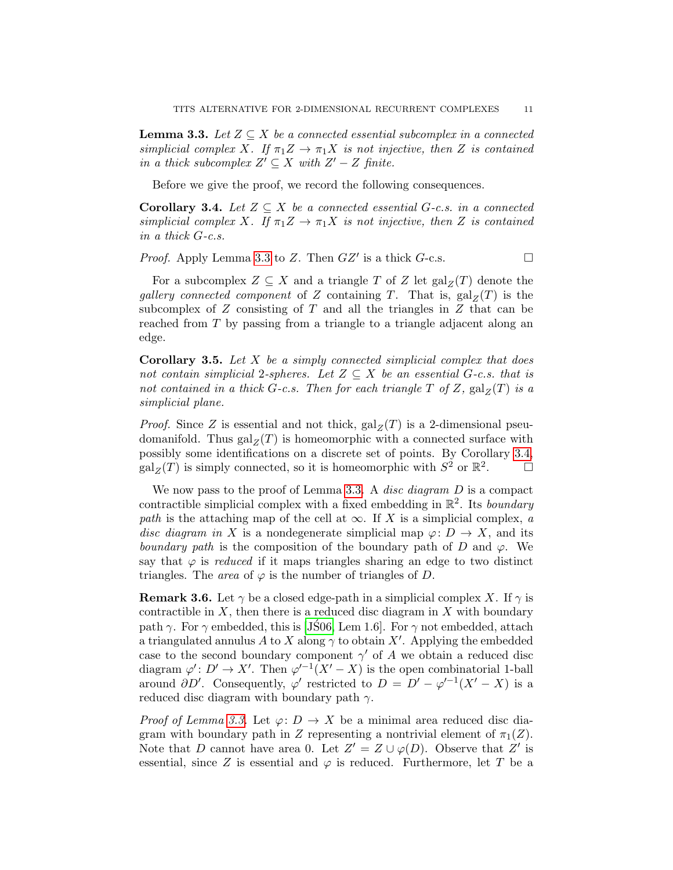<span id="page-10-0"></span>**Lemma 3.3.** Let  $Z \subseteq X$  be a connected essential subcomplex in a connected simplicial complex X. If  $\pi_1 Z \to \pi_1 X$  is not injective, then Z is contained in a thick subcomplex  $Z' \subseteq X$  with  $Z' - Z$  finite.

Before we give the proof, we record the following consequences.

<span id="page-10-1"></span>**Corollary 3.4.** Let  $Z \subseteq X$  be a connected essential G-c.s. in a connected simplicial complex X. If  $\pi_1 Z \to \pi_1 X$  is not injective, then Z is contained in a thick G-c.s.

*Proof.* Apply Lemma [3.3](#page-10-0) to Z. Then  $GZ'$  is a thick  $G$ -c.s.

For a subcomplex  $Z \subseteq X$  and a triangle T of Z let  $\text{gal}_Z(T)$  denote the gallery connected component of Z containing T. That is,  $\text{gal}_Z(T)$  is the subcomplex of  $Z$  consisting of  $T$  and all the triangles in  $Z$  that can be reached from T by passing from a triangle to a triangle adjacent along an edge.

<span id="page-10-2"></span>**Corollary 3.5.** Let  $X$  be a simply connected simplicial complex that does not contain simplicial 2-spheres. Let  $Z \subseteq X$  be an essential G-c.s. that is not contained in a thick G-c.s. Then for each triangle T of Z,  $\text{gal}_Z(T)$  is a simplicial plane.

*Proof.* Since Z is essential and not thick,  $\text{gal}_Z(T)$  is a 2-dimensional pseudomanifold. Thus  $\text{gal}_Z(T)$  is homeomorphic with a connected surface with possibly some identifications on a discrete set of points. By Corollary [3.4,](#page-10-1)  $\operatorname{gal}_Z(T)$  is simply connected, so it is homeomorphic with  $S^2$  or  $\mathbb{R}^2$  $\Box$ 

We now pass to the proof of Lemma [3.3.](#page-10-0) A *disc diagram*  $D$  is a compact contractible simplicial complex with a fixed embedding in  $\mathbb{R}^2$ . Its boundary path is the attaching map of the cell at  $\infty$ . If X is a simplicial complex, a disc diagram in X is a nondegenerate simplicial map  $\varphi: D \to X$ , and its boundary path is the composition of the boundary path of D and  $\varphi$ . We say that  $\varphi$  is *reduced* if it maps triangles sharing an edge to two distinct triangles. The *area* of  $\varphi$  is the number of triangles of D.

**Remark 3.6.** Let  $\gamma$  be a closed edge-path in a simplicial complex X. If  $\gamma$  is contractible in  $X$ , then there is a reduced disc diagram in  $X$  with boundary path  $\gamma$ . For  $\gamma$  embedded, this is [\[JS06,](#page-21-13) Lem 1.6]. For  $\gamma$  not embedded, attach a triangulated annulus A to X along  $\gamma$  to obtain X'. Applying the embedded case to the second boundary component  $\gamma'$  of A we obtain a reduced disc diagram  $\varphi' : D' \to X'$ . Then  $\varphi'^{-1}(X'-X)$  is the open combinatorial 1-ball around  $\partial D'$ . Consequently,  $\varphi'$  restricted to  $D = D' - \varphi'^{-1}(X' - X)$  is a reduced disc diagram with boundary path  $\gamma$ .

*Proof of Lemma [3.3.](#page-10-0)* Let  $\varphi: D \to X$  be a minimal area reduced disc diagram with boundary path in Z representing a nontrivial element of  $\pi_1(Z)$ . Note that D cannot have area 0. Let  $Z' = Z \cup \varphi(D)$ . Observe that Z' is essential, since Z is essential and  $\varphi$  is reduced. Furthermore, let T be a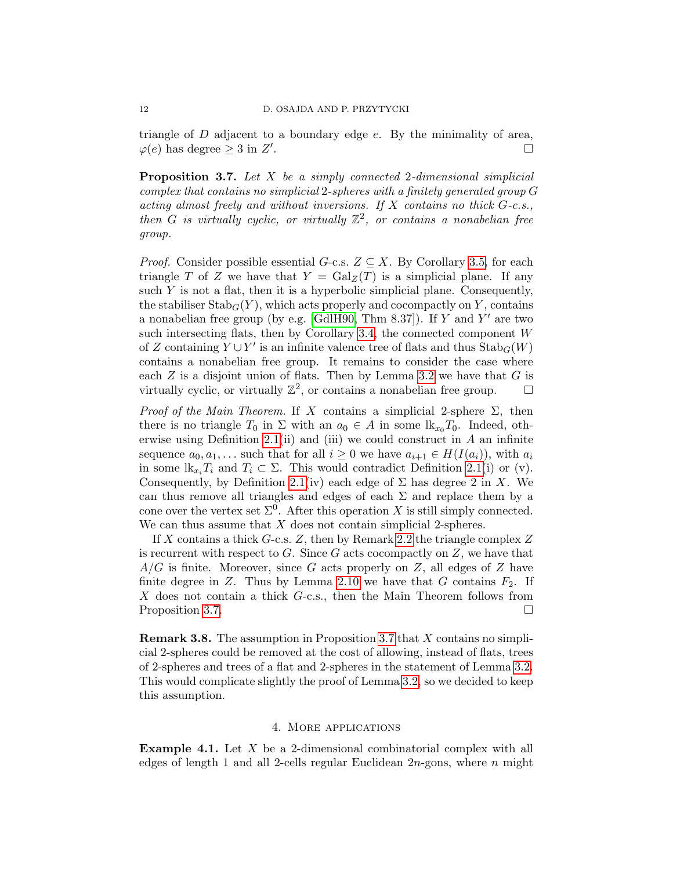triangle of  $D$  adjacent to a boundary edge  $e$ . By the minimality of area,  $\varphi(e)$  has degree  $\geq 3$  in  $Z'$ . В последните последните последните последните последните последните последните последните последните последн<br>В последните последните последните последните последните последните последните последните последните последнит

<span id="page-11-0"></span>Proposition 3.7. Let X be a simply connected 2-dimensional simplicial complex that contains no simplicial 2-spheres with a finitely generated group G acting almost freely and without inversions. If  $X$  contains no thick  $G$ -c.s., then G is virtually cyclic, or virtually  $\mathbb{Z}^2$ , or contains a nonabelian free group.

*Proof.* Consider possible essential  $G$ -c.s.  $Z \subseteq X$ . By Corollary [3.5,](#page-10-2) for each triangle T of Z we have that  $Y = \text{Gal}_Z(T)$  is a simplicial plane. If any such  $Y$  is not a flat, then it is a hyperbolic simplicial plane. Consequently, the stabiliser  $\text{Stab}_G(Y)$ , which acts properly and cocompactly on Y, contains a nonabelian free group (by e.g. [\[GdlH90,](#page-21-14) Thm  $8.37$ ]). If Y and Y' are two such intersecting flats, then by Corollary [3.4,](#page-10-1) the connected component W of Z containing  $Y \cup Y'$  is an infinite valence tree of flats and thus  $\operatorname{Stab}_G(W)$ contains a nonabelian free group. It remains to consider the case where each  $Z$  is a disjoint union of flats. Then by Lemma [3.2](#page-8-2) we have that  $G$  is virtually cyclic, or virtually  $\mathbb{Z}^2$ , or contains a nonabelian free group.  $\Box$ 

Proof of the Main Theorem. If X contains a simplicial 2-sphere  $\Sigma$ , then there is no triangle  $T_0$  in  $\Sigma$  with an  $a_0 \in A$  in some  $\mathrm{lk}_{x_0} T_0$ . Indeed, oth-erwise using Definition [2.1\(](#page-4-2)ii) and (iii) we could construct in  $A$  an infinite sequence  $a_0, a_1, \ldots$  such that for all  $i \geq 0$  we have  $a_{i+1} \in H(I(a_i))$ , with  $a_i$ in some  $\mathbf{lk}_{x_i}T_i$  and  $T_i \subset \Sigma$ . This would contradict Definition [2.1\(](#page-4-2)i) or (v). Consequently, by Definition [2.1\(](#page-4-2)iv) each edge of  $\Sigma$  has degree 2 in X. We can thus remove all triangles and edges of each  $\Sigma$  and replace them by a cone over the vertex set  $\Sigma^0$ . After this operation X is still simply connected. We can thus assume that  $X$  does not contain simplicial 2-spheres.

If X contains a thick G-c.s. Z, then by Remark [2.2](#page-4-1) the triangle complex  $Z$ is recurrent with respect to  $G$ . Since  $G$  acts cocompactly on  $Z$ , we have that  $A/G$  is finite. Moreover, since G acts properly on Z, all edges of Z have finite degree in Z. Thus by Lemma [2.10](#page-6-0) we have that  $G$  contains  $F_2$ . If  $X$  does not contain a thick  $G$ -c.s., then the Main Theorem follows from Proposition [3.7.](#page-11-0)

Remark 3.8. The assumption in Proposition [3.7](#page-11-0) that X contains no simplicial 2-spheres could be removed at the cost of allowing, instead of flats, trees of 2-spheres and trees of a flat and 2-spheres in the statement of Lemma [3.2.](#page-8-2) This would complicate slightly the proof of Lemma [3.2,](#page-8-2) so we decided to keep this assumption.

### 4. More applications

<span id="page-11-2"></span><span id="page-11-1"></span>**Example 4.1.** Let  $X$  be a 2-dimensional combinatorial complex with all edges of length 1 and all 2-cells regular Euclidean  $2n$ -gons, where n might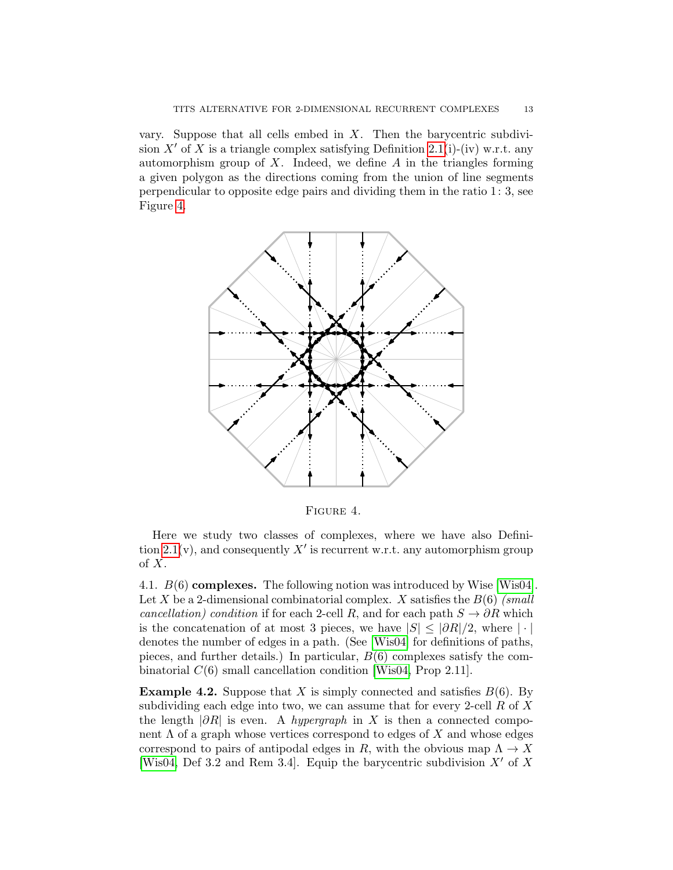vary. Suppose that all cells embed in  $X$ . Then the barycentric subdivi-sion X' of X is a triangle complex satisfying Definition [2.1\(](#page-4-2)i)-(iv) w.r.t. any automorphism group of  $X$ . Indeed, we define  $A$  in the triangles forming a given polygon as the directions coming from the union of line segments perpendicular to opposite edge pairs and dividing them in the ratio 1: 3, see Figure [4.](#page-12-1)



<span id="page-12-1"></span>Figure 4.

Here we study two classes of complexes, where we have also Defini-tion [2.1\(](#page-4-2)v), and consequently  $X'$  is recurrent w.r.t. any automorphism group of X.

<span id="page-12-0"></span>4.1. B(6) complexes. The following notion was introduced by Wise [\[Wis04\]](#page-21-10). Let X be a 2-dimensional combinatorial complex. X satisfies the  $B(6)$  (small cancellation) condition if for each 2-cell R, and for each path  $S \to \partial R$  which is the concatenation of at most 3 pieces, we have  $|S| \leq |\partial R|/2$ , where  $|\cdot|$ denotes the number of edges in a path. (See [\[Wis04\]](#page-21-10) for definitions of paths, pieces, and further details.) In particular,  $B(6)$  complexes satisfy the combinatorial  $C(6)$  small cancellation condition [\[Wis04,](#page-21-10) Prop 2.11].

<span id="page-12-2"></span>**Example 4.2.** Suppose that X is simply connected and satisfies  $B(6)$ . By subdividing each edge into two, we can assume that for every 2-cell  $R$  of  $X$ the length  $|\partial R|$  is even. A *hypergraph* in X is then a connected component  $\Lambda$  of a graph whose vertices correspond to edges of  $X$  and whose edges correspond to pairs of antipodal edges in R, with the obvious map  $\Lambda \to X$ [\[Wis04,](#page-21-10) Def 3.2 and Rem 3.4]. Equip the barycentric subdivision  $X'$  of X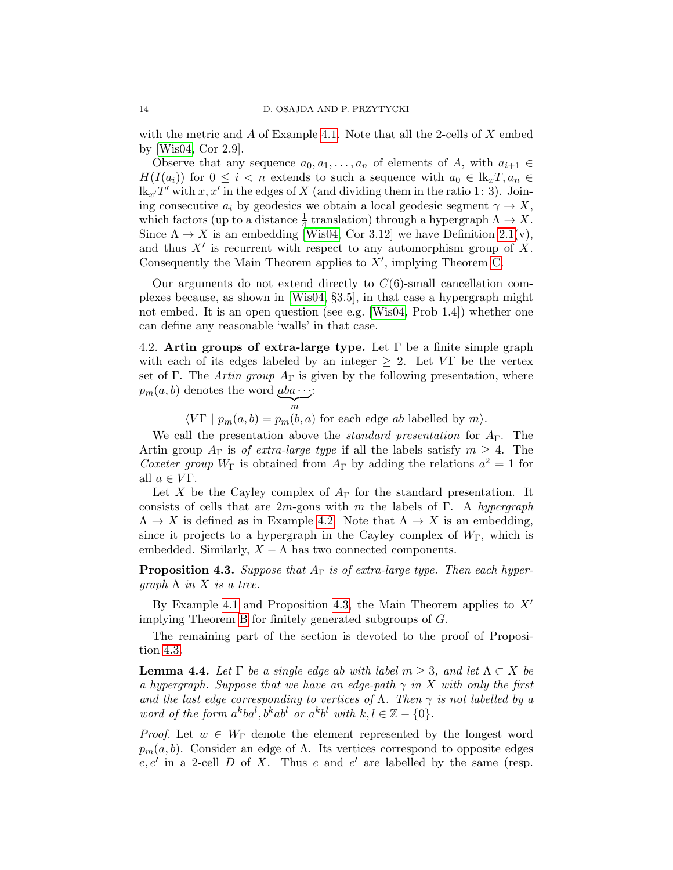with the metric and  $\tilde{A}$  of Example [4.1.](#page-11-2) Note that all the 2-cells of  $\tilde{X}$  embed by [\[Wis04,](#page-21-10) Cor 2.9].

Observe that any sequence  $a_0, a_1, \ldots, a_n$  of elements of A, with  $a_{i+1} \in$  $H(I(a_i))$  for  $0 \leq i < n$  extends to such a sequence with  $a_0 \in \mathbb{R}_x T$ ,  $a_n \in$  $lk_{x'}T'$  with  $x, x'$  in the edges of X (and dividing them in the ratio 1: 3). Joining consecutive  $a_i$  by geodesics we obtain a local geodesic segment  $\gamma \to X$ , which factors (up to a distance  $\frac{1}{4}$  translation) through a hypergraph  $\Lambda \to X$ . Since  $\Lambda \to X$  is an embedding [\[Wis04,](#page-21-10) Cor 3.12] we have Definition [2.1\(](#page-4-2)v), and thus  $X'$  is recurrent with respect to any automorphism group of  $X$ . Consequently the Main Theorem applies to  $X'$ , implying Theorem [C.](#page-2-0)

Our arguments do not extend directly to  $C(6)$ -small cancellation complexes because, as shown in [\[Wis04,](#page-21-10) §3.5], in that case a hypergraph might not embed. It is an open question (see e.g. [\[Wis04,](#page-21-10) Prob 1.4]) whether one can define any reasonable 'walls' in that case.

<span id="page-13-0"></span>4.2. Artin groups of extra-large type. Let  $\Gamma$  be a finite simple graph with each of its edges labeled by an integer  $\geq 2$ . Let VT be the vertex set of Γ. The Artin group  $A_{\Gamma}$  is given by the following presentation, where  $p_m(a, b)$  denotes the word  $\underline{a}ba \cdots$ :  $\sum_{m}$ :

 $\langle V\Gamma | p_m(a, b) = p_m(b, a)$  for each edge ab labelled by m.

We call the presentation above the *standard presentation* for  $A_{\Gamma}$ . The Artin group  $A_{\Gamma}$  is of extra-large type if all the labels satisfy  $m \geq 4$ . The Coxeter group  $W_{\Gamma}$  is obtained from  $A_{\Gamma}$  by adding the relations  $a^2 = 1$  for all  $a \in V\Gamma$ .

Let X be the Cayley complex of  $A_{\Gamma}$  for the standard presentation. It consists of cells that are 2m-gons with m the labels of Γ. A hypergraph  $\Lambda \to X$  is defined as in Example [4.2.](#page-12-2) Note that  $\Lambda \to X$  is an embedding, since it projects to a hypergraph in the Cayley complex of  $W_{\Gamma}$ , which is embedded. Similarly,  $X - \Lambda$  has two connected components.

<span id="page-13-1"></span>**Proposition 4.3.** Suppose that  $A_{\Gamma}$  is of extra-large type. Then each hyper $graph \Lambda$  in X is a tree.

By Example [4.1](#page-11-2) and Proposition [4.3,](#page-13-1) the Main Theorem applies to  $X'$ implying Theorem [B](#page-1-1) for finitely generated subgroups of G.

The remaining part of the section is devoted to the proof of Proposition [4.3.](#page-13-1)

<span id="page-13-2"></span>**Lemma 4.4.** Let  $\Gamma$  be a single edge ab with label  $m \geq 3$ , and let  $\Lambda \subset X$  be a hypergraph. Suppose that we have an edge-path  $\gamma$  in X with only the first and the last edge corresponding to vertices of  $\Lambda$ . Then  $\gamma$  is not labelled by a word of the form  $a^kba^l$ ,  $b^kab^l$  or  $a^kb^l$  with  $k, l \in \mathbb{Z} - \{0\}$ .

*Proof.* Let  $w \in W_{\Gamma}$  denote the element represented by the longest word  $p_m(a, b)$ . Consider an edge of  $\Lambda$ . Its vertices correspond to opposite edges  $e, e'$  in a 2-cell D of X. Thus e and e' are labelled by the same (resp.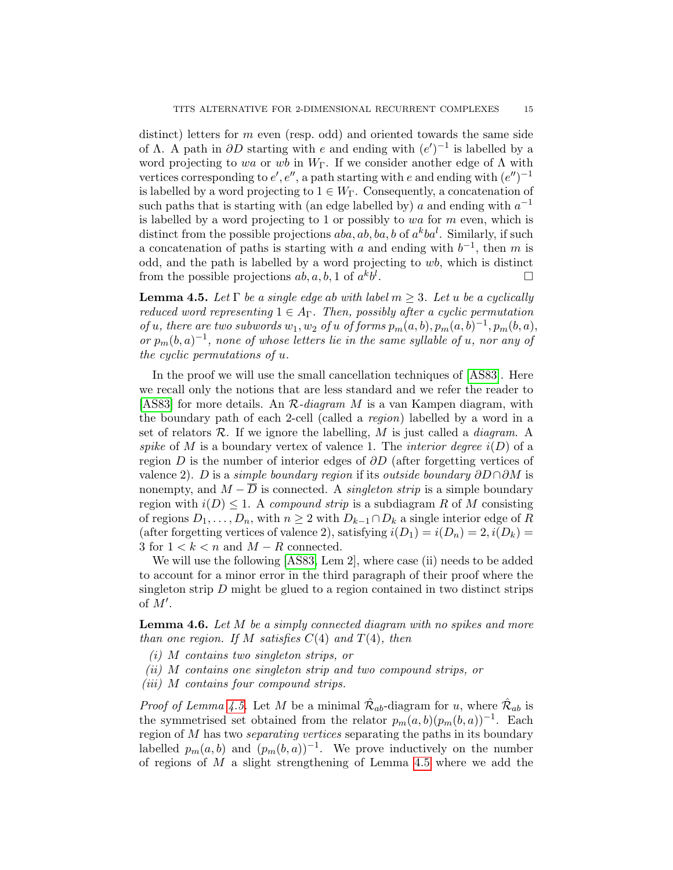distinct) letters for  $m$  even (resp. odd) and oriented towards the same side of  $\Lambda$ . A path in  $\partial D$  starting with e and ending with  $(e')^{-1}$  is labelled by a word projecting to wa or wb in  $W_{\Gamma}$ . If we consider another edge of  $\Lambda$  with vertices corresponding to  $e', e'',$  a path starting with e and ending with  $(e'')^{-1}$ is labelled by a word projecting to  $1 \in W_{\Gamma}$ . Consequently, a concatenation of such paths that is starting with (an edge labelled by)  $a$  and ending with  $a^{-1}$ is labelled by a word projecting to 1 or possibly to wa for  $m$  even, which is distinct from the possible projections  $aba, ab, ba, b$  of  $a^kba^l$ . Similarly, if such a concatenation of paths is starting with a and ending with  $b^{-1}$ , then m is odd, and the path is labelled by a word projecting to wb, which is distinct from the possible projections  $ab, a, b, 1$  of  $a^k b^l$ . — Первый процесс в последник и продавать на продавать на продавать на продавать на продавать на продавать на<br>В 1990 году в 1990 году в 1990 году в 1990 году в 1990 году в 1990 году в 1990 году в 1990 году в 1990 году в<br>

<span id="page-14-0"></span>**Lemma 4.5.** Let  $\Gamma$  be a single edge ab with label  $m > 3$ . Let u be a cyclically reduced word representing  $1 \in A_{\Gamma}$ . Then, possibly after a cyclic permutation of u, there are two subwords  $w_1, w_2$  of u of forms  $p_m(a, b), p_m(a, b)^{-1}, p_m(b, a)$ , or  $p_m(b,a)^{-1}$ , none of whose letters lie in the same syllable of u, nor any of the cyclic permutations of u.

In the proof we will use the small cancellation techniques of [\[AS83\]](#page-20-4). Here we recall only the notions that are less standard and we refer the reader to [\[AS83\]](#page-20-4) for more details. An  $\mathcal{R}$ -diagram M is a van Kampen diagram, with the boundary path of each 2-cell (called a region) labelled by a word in a set of relators  $\mathcal{R}$ . If we ignore the labelling, M is just called a *diagram*. A spike of M is a boundary vertex of valence 1. The *interior degree*  $i(D)$  of a region D is the number of interior edges of  $\partial D$  (after forgetting vertices of valence 2). D is a simple boundary region if its outside boundary  $\partial D \cap \partial M$  is nonempty, and  $M - \overline{D}$  is connected. A *singleton strip* is a simple boundary region with  $i(D) \leq 1$ . A compound strip is a subdiagram R of M consisting of regions  $D_1, \ldots, D_n$ , with  $n \geq 2$  with  $D_{k-1} \cap D_k$  a single interior edge of R (after forgetting vertices of valence 2), satisfying  $i(D_1) = i(D_n) = 2, i(D_k) =$ 3 for  $1 < k < n$  and  $M - R$  connected.

We will use the following [\[AS83,](#page-20-4) Lem 2], where case (ii) needs to be added to account for a minor error in the third paragraph of their proof where the singleton strip D might be glued to a region contained in two distinct strips of  $M'$ .

<span id="page-14-1"></span>**Lemma 4.6.** Let  $M$  be a simply connected diagram with no spikes and more than one region. If M satisfies  $C(4)$  and  $T(4)$ , then

- (i) M contains two singleton strips, or
- (ii) M contains one singleton strip and two compound strips, or
- (iii) M contains four compound strips.

*Proof of Lemma [4.5.](#page-14-0)* Let M be a minimal  $\hat{\mathcal{R}}_{ab}$ -diagram for u, where  $\hat{\mathcal{R}}_{ab}$  is the symmetrised set obtained from the relator  $p_m(a, b)(p_m(b, a))^{-1}$ . Each region of M has two separating vertices separating the paths in its boundary labelled  $p_m(a, b)$  and  $(p_m(b, a))^{-1}$ . We prove inductively on the number of regions of  $M$  a slight strengthening of Lemma [4.5](#page-14-0) where we add the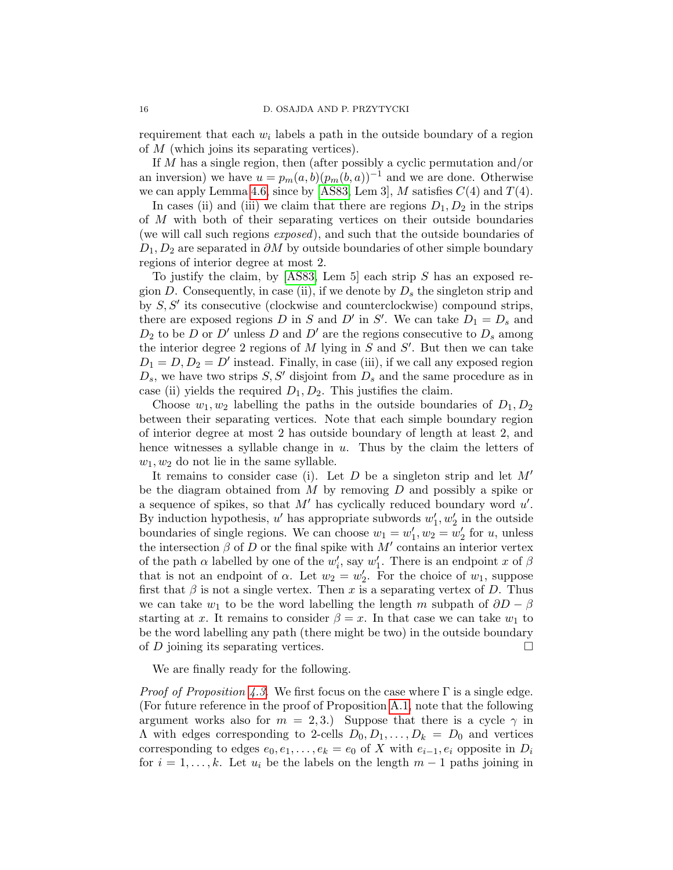requirement that each  $w_i$  labels a path in the outside boundary of a region of M (which joins its separating vertices).

If M has a single region, then (after possibly a cyclic permutation and/or an inversion) we have  $u = p_m(a, b)(p_m(b, a))^{-1}$  and we are done. Otherwise we can apply Lemma [4.6,](#page-14-1) since by [\[AS83,](#page-20-4) Lem 3],  $M$  satisfies  $C(4)$  and  $T(4)$ .

In cases (ii) and (iii) we claim that there are regions  $D_1, D_2$  in the strips of M with both of their separating vertices on their outside boundaries (we will call such regions exposed), and such that the outside boundaries of  $D_1, D_2$  are separated in  $\partial M$  by outside boundaries of other simple boundary regions of interior degree at most 2.

To justify the claim, by  $[ASS3, Lem 5]$  each strip S has an exposed region D. Consequently, in case (ii), if we denote by  $D_s$  the singleton strip and by  $S, S'$  its consecutive (clockwise and counterclockwise) compound strips, there are exposed regions D in S and D' in S'. We can take  $D_1 = D_s$  and  $D_2$  to be D or D' unless D and D' are the regions consecutive to  $D_s$  among the interior degree 2 regions of  $M$  lying in  $S$  and  $S'$ . But then we can take  $D_1 = D, D_2 = D'$  instead. Finally, in case (iii), if we call any exposed region  $D_s$ , we have two strips  $S, S'$  disjoint from  $D_s$  and the same procedure as in case (ii) yields the required  $D_1, D_2$ . This justifies the claim.

Choose  $w_1, w_2$  labelling the paths in the outside boundaries of  $D_1, D_2$ between their separating vertices. Note that each simple boundary region of interior degree at most 2 has outside boundary of length at least 2, and hence witnesses a syllable change in  $u$ . Thus by the claim the letters of  $w_1, w_2$  do not lie in the same syllable.

It remains to consider case (i). Let  $D$  be a singleton strip and let  $M'$ be the diagram obtained from  $M$  by removing  $D$  and possibly a spike or a sequence of spikes, so that  $M'$  has cyclically reduced boundary word  $u'$ . By induction hypothesis,  $u'$  has appropriate subwords  $w'_1, w'_2$  in the outside boundaries of single regions. We can choose  $w_1 = w'_1, w_2 = w'_2$  for u, unless the intersection  $\beta$  of D or the final spike with  $M'$  contains an interior vertex of the path  $\alpha$  labelled by one of the  $w'_i$ , say  $w'_1$ . There is an endpoint x of  $\beta$ that is not an endpoint of  $\alpha$ . Let  $w_2 = w'_2$ . For the choice of  $w_1$ , suppose first that  $\beta$  is not a single vertex. Then x is a separating vertex of D. Thus we can take  $w_1$  to be the word labelling the length m subpath of  $\partial D - \beta$ starting at x. It remains to consider  $\beta = x$ . In that case we can take  $w_1$  to be the word labelling any path (there might be two) in the outside boundary of  $D$  joining its separating vertices.

We are finally ready for the following.

*Proof of Proposition [4.3.](#page-13-1)* We first focus on the case where  $\Gamma$  is a single edge. (For future reference in the proof of Proposition [A.1,](#page-18-0) note that the following argument works also for  $m = 2, 3$ .) Suppose that there is a cycle  $\gamma$  in  $\Lambda$  with edges corresponding to 2-cells  $D_0, D_1, \ldots, D_k = D_0$  and vertices corresponding to edges  $e_0, e_1, \ldots, e_k = e_0$  of X with  $e_{i-1}, e_i$  opposite in  $D_i$ for  $i = 1, \ldots, k$ . Let  $u_i$  be the labels on the length  $m - 1$  paths joining in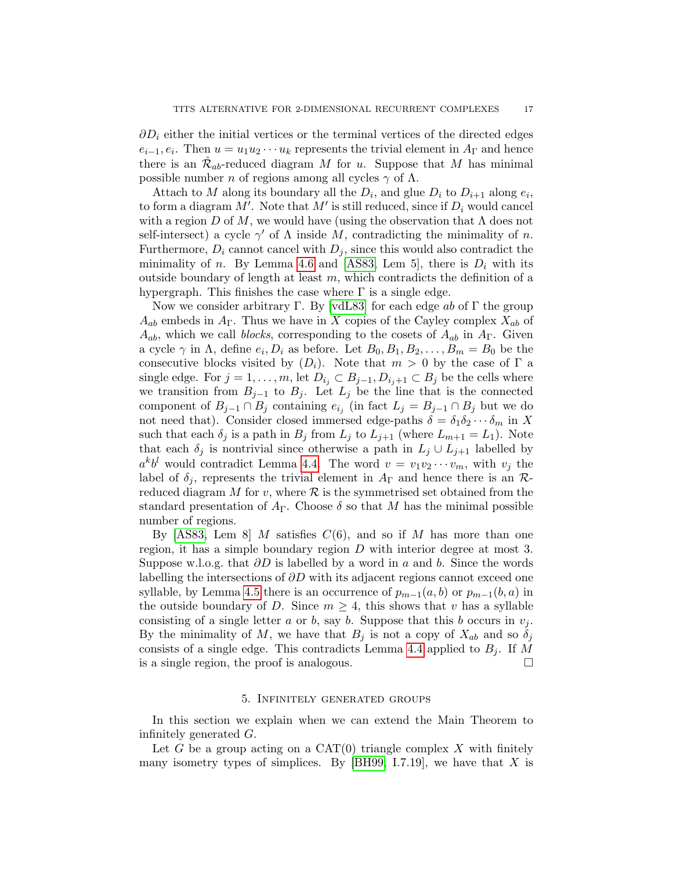$\partial D_i$  either the initial vertices or the terminal vertices of the directed edges  $e_{i-1}, e_i$ . Then  $u = u_1 u_2 \cdots u_k$  represents the trivial element in  $A_{\Gamma}$  and hence there is an  $\hat{\mathcal{R}}_{ab}$ -reduced diagram M for u. Suppose that M has minimal possible number *n* of regions among all cycles  $\gamma$  of  $\Lambda$ .

Attach to M along its boundary all the  $D_i$ , and glue  $D_i$  to  $D_{i+1}$  along  $e_i$ , to form a diagram  $M'$ . Note that  $M'$  is still reduced, since if  $D_i$  would cancel with a region D of M, we would have (using the observation that  $\Lambda$  does not self-intersect) a cycle  $\gamma'$  of  $\Lambda$  inside  $\dot{M}$ , contradicting the minimality of n. Furthermore,  $D_i$  cannot cancel with  $D_i$ , since this would also contradict the minimality of n. By Lemma [4.6](#page-14-1) and [\[AS83,](#page-20-4) Lem 5], there is  $D_i$  with its outside boundary of length at least  $m$ , which contradicts the definition of a hypergraph. This finishes the case where  $\Gamma$  is a single edge.

Now we consider arbitrary Γ. By [\[vdL83\]](#page-21-15) for each edge ab of Γ the group  $A_{ab}$  embeds in  $A_{\Gamma}$ . Thus we have in X copies of the Cayley complex  $X_{ab}$  of  $A_{ab}$ , which we call *blocks*, corresponding to the cosets of  $A_{ab}$  in  $A_{\Gamma}$ . Given a cycle  $\gamma$  in  $\Lambda$ , define  $e_i, D_i$  as before. Let  $B_0, B_1, B_2, \ldots, B_m = B_0$  be the consecutive blocks visited by  $(D_i)$ . Note that  $m > 0$  by the case of  $\Gamma$  a single edge. For  $j = 1, \ldots, m$ , let  $D_{i_j} \subset B_{j-1}, D_{i_j+1} \subset B_j$  be the cells where we transition from  $B_{j-1}$  to  $B_j$ . Let  $L_j$  be the line that is the connected component of  $B_{j-1} \cap B_j$  containing  $e_{i_j}$  (in fact  $L_j = B_{j-1} \cap B_j$  but we do not need that). Consider closed immersed edge-paths  $\delta = \delta_1 \delta_2 \cdots \delta_m$  in X such that each  $\delta_j$  is a path in  $B_j$  from  $L_j$  to  $L_{j+1}$  (where  $L_{m+1} = L_1$ ). Note that each  $\delta_j$  is nontrivial since otherwise a path in  $L_j \cup L_{j+1}$  labelled by  $a^k b^l$  would contradict Lemma [4.4.](#page-13-2) The word  $v = v_1v_2\cdots v_m$ , with  $v_j$  the label of  $\delta_j$ , represents the trivial element in  $A_{\Gamma}$  and hence there is an  $\mathcal{R}_1$ reduced diagram M for v, where  $\mathcal R$  is the symmetrised set obtained from the standard presentation of  $A_{\Gamma}$ . Choose  $\delta$  so that M has the minimal possible number of regions.

By [\[AS83,](#page-20-4) Lem 8] M satisfies  $C(6)$ , and so if M has more than one region, it has a simple boundary region D with interior degree at most 3. Suppose w.l.o.g. that  $\partial D$  is labelled by a word in a and b. Since the words labelling the intersections of  $\partial D$  with its adjacent regions cannot exceed one syllable, by Lemma [4.5](#page-14-0) there is an occurrence of  $p_{m-1}(a, b)$  or  $p_{m-1}(b, a)$  in the outside boundary of D. Since  $m \geq 4$ , this shows that v has a syllable consisting of a single letter a or b, say b. Suppose that this b occurs in  $v_j$ . By the minimality of M, we have that  $B_i$  is not a copy of  $X_{ab}$  and so  $\delta_i$ consists of a single edge. This contradicts Lemma [4.4](#page-13-2) applied to  $B_i$ . If M is a single region, the proof is analogous.

### 5. Infinitely generated groups

<span id="page-16-0"></span>In this section we explain when we can extend the Main Theorem to infinitely generated G.

Let G be a group acting on a  $CAT(0)$  triangle complex X with finitely many isometry types of simplices. By [\[BH99,](#page-20-2) I.7.19], we have that  $X$  is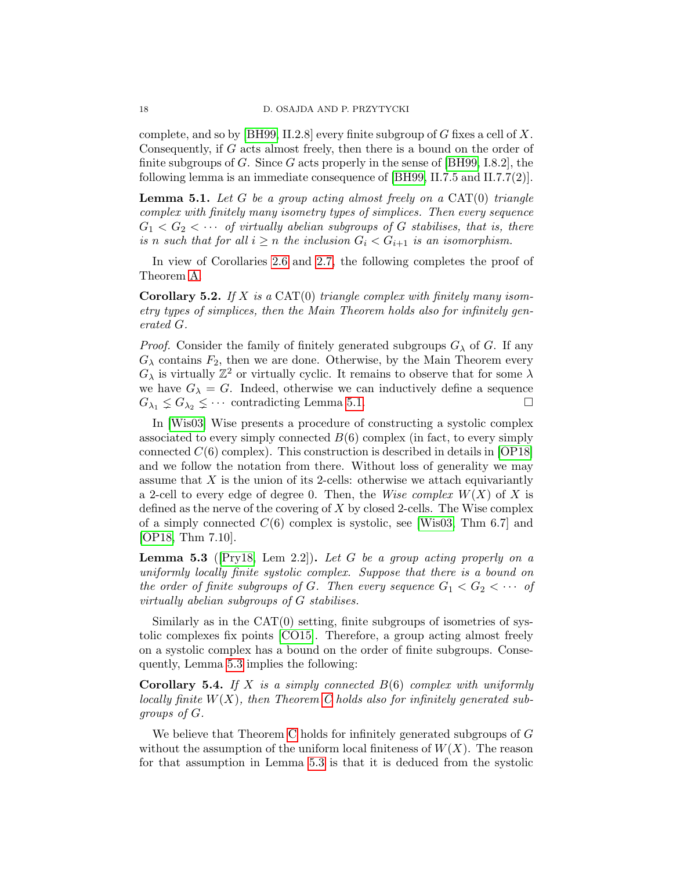complete, and so by [\[BH99,](#page-20-2) II.2.8] every finite subgroup of G fixes a cell of X. Consequently, if G acts almost freely, then there is a bound on the order of finite subgroups of G. Since G acts properly in the sense of  $[BH99, I.8.2]$ , the following lemma is an immediate consequence of [\[BH99,](#page-20-2) II.7.5 and II.7.7(2)].

<span id="page-17-0"></span>**Lemma 5.1.** Let G be a group acting almost freely on a  $CAT(0)$  triangle complex with finitely many isometry types of simplices. Then every sequence  $G_1 < G_2 < \cdots$  of virtually abelian subgroups of G stabilises, that is, there is n such that for all  $i \geq n$  the inclusion  $G_i < G_{i+1}$  is an isomorphism.

In view of Corollaries [2.6](#page-5-0) and [2.7,](#page-5-1) the following completes the proof of Theorem [A.](#page-1-0)

**Corollary 5.2.** If X is a CAT(0) triangle complex with finitely many isometry types of simplices, then the Main Theorem holds also for infinitely generated G.

*Proof.* Consider the family of finitely generated subgroups  $G_{\lambda}$  of G. If any  $G_{\lambda}$  contains  $F_2$ , then we are done. Otherwise, by the Main Theorem every  $G_{\lambda}$  is virtually  $\mathbb{Z}^2$  or virtually cyclic. It remains to observe that for some  $\lambda$ we have  $G_{\lambda} = G$ . Indeed, otherwise we can inductively define a sequence  $G_{\lambda_1} \leq G_{\lambda_2} \leq \cdots$  contradicting Lemma [5.1.](#page-17-0)

In [\[Wis03\]](#page-21-16) Wise presents a procedure of constructing a systolic complex associated to every simply connected  $B(6)$  complex (in fact, to every simply connected  $C(6)$  complex). This construction is described in details in [\[OP18\]](#page-21-17) and we follow the notation from there. Without loss of generality we may assume that  $X$  is the union of its 2-cells: otherwise we attach equivariantly a 2-cell to every edge of degree 0. Then, the Wise complex  $W(X)$  of X is defined as the nerve of the covering of  $X$  by closed 2-cells. The Wise complex of a simply connected  $C(6)$  complex is systolic, see [\[Wis03,](#page-21-16) Thm 6.7] and [\[OP18,](#page-21-17) Thm 7.10].

<span id="page-17-1"></span>**Lemma 5.3** ( $[Pry18, Lem 2.2]$  $[Pry18, Lem 2.2]$ ). Let G be a group acting properly on a uniformly locally finite systolic complex. Suppose that there is a bound on the order of finite subgroups of G. Then every sequence  $G_1 < G_2 < \cdots$  of virtually abelian subgroups of G stabilises.

Similarly as in the  $CAT(0)$  setting, finite subgroups of isometries of systolic complexes fix points [\[CO15\]](#page-20-5). Therefore, a group acting almost freely on a systolic complex has a bound on the order of finite subgroups. Consequently, Lemma [5.3](#page-17-1) implies the following:

**Corollary 5.4.** If X is a simply connected  $B(6)$  complex with uniformly locally finite  $W(X)$ , then Theorem [C](#page-2-0) holds also for infinitely generated subgroups of G.

We believe that Theorem [C](#page-2-0) holds for infinitely generated subgroups of G without the assumption of the uniform local finiteness of  $W(X)$ . The reason for that assumption in Lemma [5.3](#page-17-1) is that it is deduced from the systolic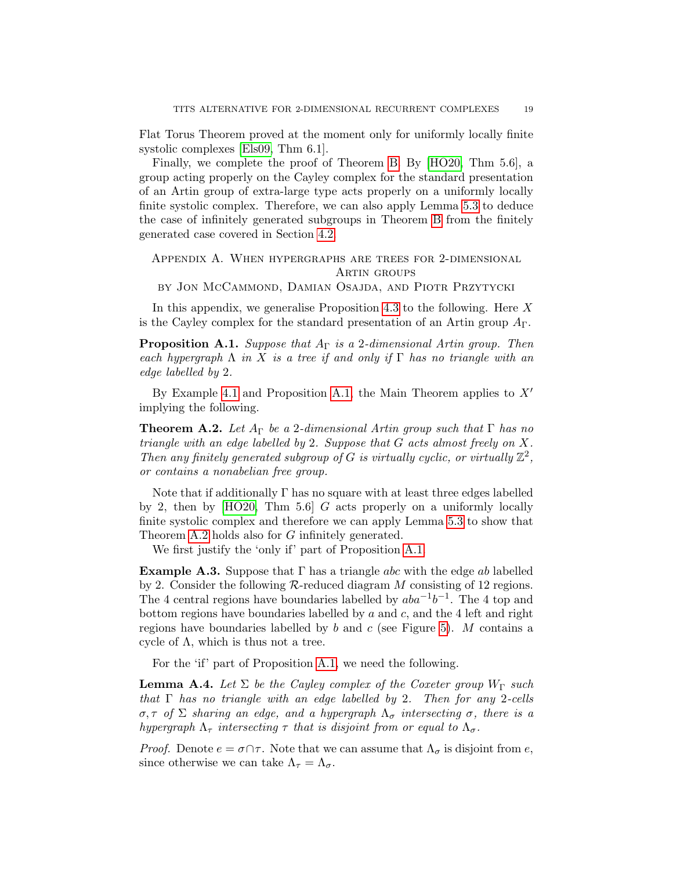Flat Torus Theorem proved at the moment only for uniformly locally finite systolic complexes [\[Els09,](#page-20-6) Thm 6.1].

Finally, we complete the proof of Theorem [B.](#page-1-1) By [\[HO20,](#page-21-19) Thm 5.6], a group acting properly on the Cayley complex for the standard presentation of an Artin group of extra-large type acts properly on a uniformly locally finite systolic complex. Therefore, we can also apply Lemma [5.3](#page-17-1) to deduce the case of infinitely generated subgroups in Theorem [B](#page-1-1) from the finitely generated case covered in Section [4.2.](#page-13-0)

# Appendix A. When hypergraphs are trees for 2-dimensional ARTIN GROUPS

by Jon McCammond, Damian Osajda, and Piotr Przytycki

In this appendix, we generalise Proposition [4.3](#page-13-1) to the following. Here  $X$ is the Cayley complex for the standard presentation of an Artin group  $A_{\Gamma}$ .

<span id="page-18-0"></span>**Proposition A.1.** Suppose that  $A_{\Gamma}$  is a 2-dimensional Artin group. Then each hypergraph  $\Lambda$  in X is a tree if and only if  $\Gamma$  has no triangle with an edge labelled by 2.

By Example [4.1](#page-11-2) and Proposition [A.1,](#page-18-0) the Main Theorem applies to  $X'$ implying the following.

<span id="page-18-1"></span>**Theorem A.2.** Let  $A_{\Gamma}$  be a 2-dimensional Artin group such that  $\Gamma$  has no triangle with an edge labelled by 2. Suppose that G acts almost freely on X. Then any finitely generated subgroup of G is virtually cyclic, or virtually  $\mathbb{Z}^2$ , or contains a nonabelian free group.

Note that if additionally  $\Gamma$  has no square with at least three edges labelled by 2, then by  $[HO20, Thm 5.6]$  G acts properly on a uniformly locally finite systolic complex and therefore we can apply Lemma [5.3](#page-17-1) to show that Theorem [A.2](#page-18-1) holds also for G infinitely generated.

We first justify the 'only if' part of Proposition [A.1.](#page-18-0)

<span id="page-18-2"></span>**Example A.3.** Suppose that  $\Gamma$  has a triangle abc with the edge ab labelled by 2. Consider the following  $\mathcal{R}\text{-reduced diagram }M$  consisting of 12 regions. The 4 central regions have boundaries labelled by  $aba^{-1}b^{-1}$ . The 4 top and bottom regions have boundaries labelled by  $a$  and  $c$ , and the 4 left and right regions have boundaries labelled by  $b$  and  $c$  (see Figure [5\)](#page-19-0). M contains a cycle of  $\Lambda$ , which is thus not a tree.

For the 'if' part of Proposition [A.1,](#page-18-0) we need the following.

<span id="page-18-3"></span>**Lemma A.4.** Let  $\Sigma$  be the Cayley complex of the Coxeter group  $W_{\Gamma}$  such that  $\Gamma$  has no triangle with an edge labelled by 2. Then for any 2-cells σ, τ of Σ sharing an edge, and a hypergraph  $Λ<sub>σ</sub>$  intersecting σ, there is a hypergraph  $\Lambda_{\tau}$  intersecting  $\tau$  that is disjoint from or equal to  $\Lambda_{\sigma}$ .

*Proof.* Denote  $e = \sigma \cap \tau$ . Note that we can assume that  $\Lambda_{\sigma}$  is disjoint from e, since otherwise we can take  $\Lambda_{\tau} = \Lambda_{\sigma}$ .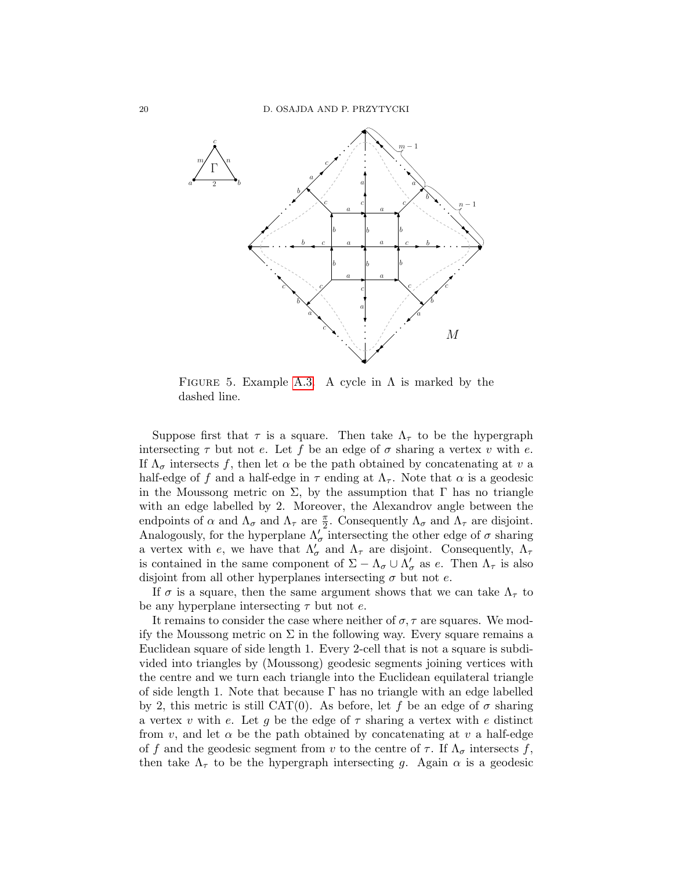

<span id="page-19-0"></span>FIGURE 5. Example [A.3.](#page-18-2) A cycle in  $\Lambda$  is marked by the dashed line.

Suppose first that  $\tau$  is a square. Then take  $\Lambda_{\tau}$  to be the hypergraph intersecting  $\tau$  but not e. Let f be an edge of  $\sigma$  sharing a vertex v with e. If  $\Lambda_{\sigma}$  intersects f, then let  $\alpha$  be the path obtained by concatenating at v a half-edge of f and a half-edge in  $\tau$  ending at  $\Lambda_{\tau}$ . Note that  $\alpha$  is a geodesic in the Moussong metric on  $\Sigma$ , by the assumption that  $\Gamma$  has no triangle with an edge labelled by 2. Moreover, the Alexandrov angle between the endpoints of  $\alpha$  and  $\Lambda_{\sigma}$  and  $\Lambda_{\tau}$  are  $\frac{\pi}{2}$ . Consequently  $\Lambda_{\sigma}$  and  $\Lambda_{\tau}$  are disjoint. Analogously, for the hyperplane  $\Lambda_{\sigma}^{\prime}$  intersecting the other edge of  $\sigma$  sharing a vertex with e, we have that  $\Lambda'_{\sigma}$  and  $\Lambda_{\tau}$  are disjoint. Consequently,  $\Lambda_{\tau}$ is contained in the same component of  $\Sigma - \Lambda_{\sigma} \cup \Lambda'_{\sigma}$  as e. Then  $\Lambda_{\tau}$  is also disjoint from all other hyperplanes intersecting  $\sigma$  but not e.

If  $\sigma$  is a square, then the same argument shows that we can take  $\Lambda_{\tau}$  to be any hyperplane intersecting  $\tau$  but not e.

It remains to consider the case where neither of  $\sigma$ ,  $\tau$  are squares. We modify the Moussong metric on  $\Sigma$  in the following way. Every square remains a Euclidean square of side length 1. Every 2-cell that is not a square is subdivided into triangles by (Moussong) geodesic segments joining vertices with the centre and we turn each triangle into the Euclidean equilateral triangle of side length 1. Note that because  $\Gamma$  has no triangle with an edge labelled by 2, this metric is still CAT(0). As before, let f be an edge of  $\sigma$  sharing a vertex v with e. Let q be the edge of  $\tau$  sharing a vertex with e distinct from v, and let  $\alpha$  be the path obtained by concatenating at v a half-edge of f and the geodesic segment from v to the centre of  $\tau$ . If  $\Lambda_{\sigma}$  intersects f, then take  $\Lambda_{\tau}$  to be the hypergraph intersecting g. Again  $\alpha$  is a geodesic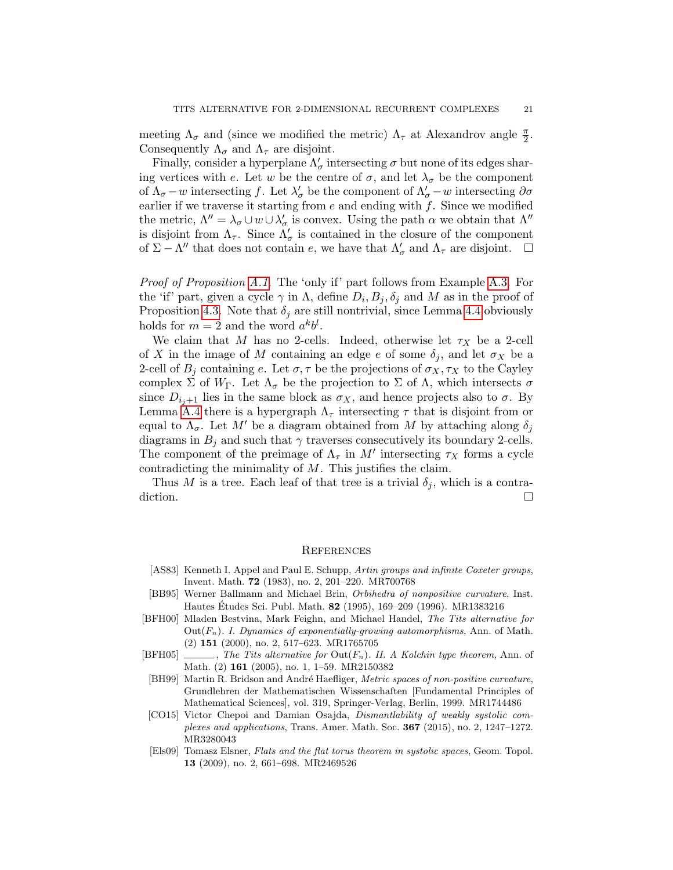meeting  $\Lambda_{\sigma}$  and (since we modified the metric)  $\Lambda_{\tau}$  at Alexandrov angle  $\frac{\pi}{2}$ . Consequently  $\Lambda_{\sigma}$  and  $\Lambda_{\tau}$  are disjoint.

Finally, consider a hyperplane  $\Lambda'_\sigma$  intersecting  $\sigma$  but none of its edges sharing vertices with e. Let w be the centre of  $\sigma$ , and let  $\lambda_{\sigma}$  be the component of  $\Lambda_{\sigma}$  – w intersecting f. Let  $\lambda'_{\sigma}$  be the component of  $\Lambda'_{\sigma}$  – w intersecting  $\partial \sigma$ earlier if we traverse it starting from  $e$  and ending with  $f$ . Since we modified the metric,  $\Lambda'' = \lambda_{\sigma} \cup w \cup \lambda'_{\sigma}$  is convex. Using the path  $\alpha$  we obtain that  $\Lambda''$ is disjoint from  $\Lambda_{\tau}$ . Since  $\Lambda'_{\sigma}$  is contained in the closure of the component of  $\Sigma - \Lambda''$  that does not contain e, we have that  $\Lambda'_{\sigma}$  and  $\Lambda_{\tau}$  are disjoint.  $\square$ 

Proof of Proposition [A.1.](#page-18-0) The 'only if' part follows from Example [A.3.](#page-18-2) For the 'if' part, given a cycle  $\gamma$  in  $\Lambda$ , define  $D_i, B_j, \delta_j$  and M as in the proof of Proposition [4.3.](#page-13-1) Note that  $\delta_i$  are still nontrivial, since Lemma [4.4](#page-13-2) obviously holds for  $m = 2$  and the word  $a^k b^l$ .

We claim that M has no 2-cells. Indeed, otherwise let  $\tau_X$  be a 2-cell of X in the image of M containing an edge e of some  $\delta_i$ , and let  $\sigma_X$  be a 2-cell of  $B_i$  containing e. Let  $\sigma, \tau$  be the projections of  $\sigma_X, \tau_X$  to the Cayley complex  $\Sigma$  of  $W_{\Gamma}$ . Let  $\Lambda_{\sigma}$  be the projection to  $\Sigma$  of  $\Lambda$ , which intersects  $\sigma$ since  $D_{i,j+1}$  lies in the same block as  $\sigma_X$ , and hence projects also to  $\sigma$ . By Lemma [A.4](#page-18-3) there is a hypergraph  $\Lambda_{\tau}$  intersecting  $\tau$  that is disjoint from or equal to  $\Lambda_{\sigma}$ . Let M' be a diagram obtained from M by attaching along  $\delta_j$ diagrams in  $B_j$  and such that  $\gamma$  traverses consecutively its boundary 2-cells. The component of the preimage of  $\Lambda_{\tau}$  in  $M'$  intersecting  $\tau_X$  forms a cycle contradicting the minimality of M. This justifies the claim.

Thus M is a tree. Each leaf of that tree is a trivial  $\delta_j$ , which is a contradiction.  $\Box$ 

#### **REFERENCES**

- <span id="page-20-4"></span>[AS83] Kenneth I. Appel and Paul E. Schupp, Artin groups and infinite Coxeter groups, Invent. Math. 72 (1983), no. 2, 201–220. MR700768
- <span id="page-20-3"></span>[BB95] Werner Ballmann and Michael Brin, Orbihedra of nonpositive curvature, Inst. Hautes Études Sci. Publ. Math. **82** (1995), 169–209 (1996). MR1383216
- <span id="page-20-0"></span>[BFH00] Mladen Bestvina, Mark Feighn, and Michael Handel, The Tits alternative for  $Out(F_n)$ . I. Dynamics of exponentially-growing automorphisms, Ann. of Math. (2) 151 (2000), no. 2, 517–623. MR1765705
- <span id="page-20-1"></span>[BFH05]  $\ldots$ , The Tits alternative for  $Out(F_n)$ . II. A Kolchin type theorem, Ann. of Math. (2) **161** (2005), no. 1, 1–59. MR2150382
- <span id="page-20-2"></span>[BH99] Martin R. Bridson and André Haefliger, Metric spaces of non-positive curvature, Grundlehren der Mathematischen Wissenschaften [Fundamental Principles of Mathematical Sciences], vol. 319, Springer-Verlag, Berlin, 1999. MR1744486
- <span id="page-20-5"></span>[CO15] Victor Chepoi and Damian Osajda, Dismantlability of weakly systolic complexes and applications, Trans. Amer. Math. Soc. 367 (2015), no. 2, 1247–1272. MR3280043
- <span id="page-20-6"></span>[Els09] Tomasz Elsner, Flats and the flat torus theorem in systolic spaces, Geom. Topol. 13 (2009), no. 2, 661–698. MR2469526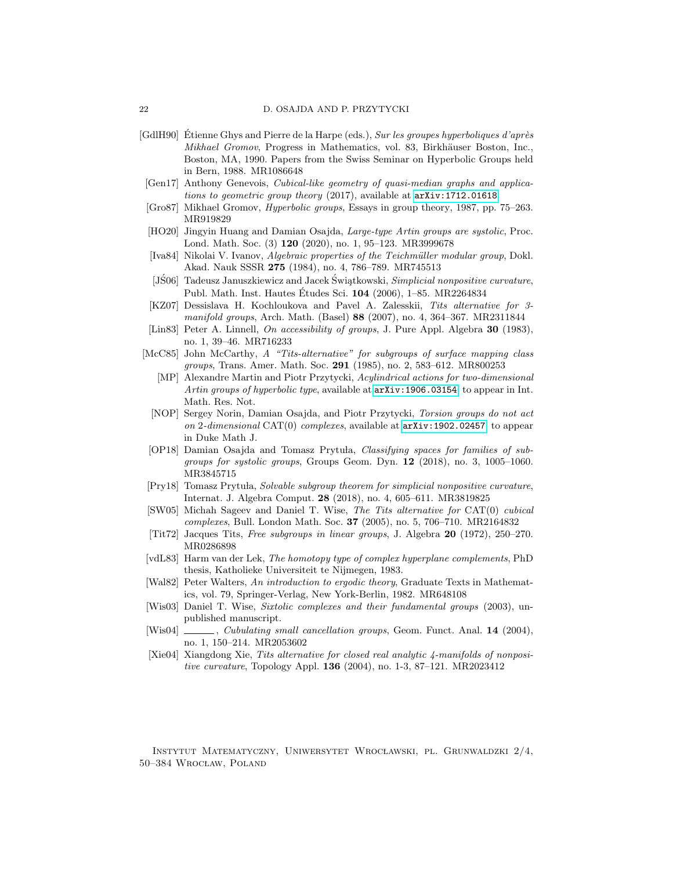- <span id="page-21-14"></span>[GdlH90] Étienne Ghys and Pierre de la Harpe (eds.), Sur les groupes hyperboliques d'après Mikhael Gromov, Progress in Mathematics, vol. 83, Birkhäuser Boston, Inc., Boston, MA, 1990. Papers from the Swiss Seminar on Hyperbolic Groups held in Bern, 1988. MR1086648
- <span id="page-21-8"></span>[Gen17] Anthony Genevois, Cubical-like geometry of quasi-median graphs and applications to geometric group theory (2017), available at <arXiv:1712.01618>.
- <span id="page-21-1"></span>[Gro87] Mikhael Gromov, Hyperbolic groups, Essays in group theory, 1987, pp. 75–263. MR919829
- <span id="page-21-19"></span>[HO20] Jingyin Huang and Damian Osajda, Large-type Artin groups are systolic, Proc. Lond. Math. Soc. (3) 120 (2020), no. 1, 95–123. MR3999678
- <span id="page-21-2"></span>[Iva84] Nikolai V. Ivanov, Algebraic properties of the Teichm¨uller modular group, Dokl. Akad. Nauk SSSR 275 (1984), no. 4, 786–789. MR745513
- <span id="page-21-13"></span>[JS06] Tadeusz Januszkiewicz and Jacek Świątkowski, Simplicial nonpositive curvature, Publ. Math. Inst. Hautes Études Sci. 104 (2006), 1–85. MR2264834
- <span id="page-21-4"></span>[KZ07] Dessislava H. Kochloukova and Pavel A. Zalesskii, Tits alternative for 3 manifold groups, Arch. Math. (Basel) 88 (2007), no. 4, 364–367. MR2311844
- <span id="page-21-12"></span>[Lin83] Peter A. Linnell, On accessibility of groups, J. Pure Appl. Algebra 30 (1983), no. 1, 39–46. MR716233
- <span id="page-21-9"></span><span id="page-21-3"></span>[McC85] John McCarthy, A "Tits-alternative" for subgroups of surface mapping class groups, Trans. Amer. Math. Soc. 291 (1985), no. 2, 583–612. MR800253
	- [MP] Alexandre Martin and Piotr Przytycki, Acylindrical actions for two-dimensional Artin groups of hyperbolic type, available at  $arXiv:1906.03154$ . to appear in Int. Math. Res. Not.
- <span id="page-21-7"></span>[NOP] Sergey Norin, Damian Osajda, and Piotr Przytycki, Torsion groups do not act on 2-dimensional CAT(0) complexes, available at  $arXiv:1902.02457$ . to appear in Duke Math J.
- <span id="page-21-17"></span>[OP18] Damian Osajda and Tomasz Prytuła, Classifying spaces for families of subgroups for systolic groups, Groups Geom. Dyn. 12 (2018), no. 3, 1005–1060. MR3845715
- <span id="page-21-18"></span>[Pry18] Tomasz Prytuła, Solvable subgroup theorem for simplicial nonpositive curvature, Internat. J. Algebra Comput. 28 (2018), no. 4, 605–611. MR3819825
- <span id="page-21-6"></span>[SW05] Michah Sageev and Daniel T. Wise, The Tits alternative for CAT(0) cubical complexes, Bull. London Math. Soc. 37 (2005), no. 5, 706–710. MR2164832
- <span id="page-21-0"></span>[Tit72] Jacques Tits, Free subgroups in linear groups, J. Algebra 20 (1972), 250–270. MR0286898
- <span id="page-21-15"></span>[vdL83] Harm van der Lek, The homotopy type of complex hyperplane complements, PhD thesis, Katholieke Universiteit te Nijmegen, 1983.
- <span id="page-21-11"></span>[Wal82] Peter Walters, An introduction to ergodic theory, Graduate Texts in Mathematics, vol. 79, Springer-Verlag, New York-Berlin, 1982. MR648108
- <span id="page-21-16"></span>[Wis03] Daniel T. Wise, Sixtolic complexes and their fundamental groups (2003), unpublished manuscript.
- <span id="page-21-10"></span>[Wis04] , Cubulating small cancellation groups, Geom. Funct. Anal. 14 (2004), no. 1, 150–214. MR2053602
- <span id="page-21-5"></span>[Xie04] Xiangdong Xie, Tits alternative for closed real analytic 4-manifolds of nonpositive curvature, Topology Appl. 136 (2004), no. 1-3, 87–121. MR2023412

Instytut Matematyczny, Uniwersytet Wroc lawski, pl. Grunwaldzki 2/4, 50-384 WROCŁAW, POLAND